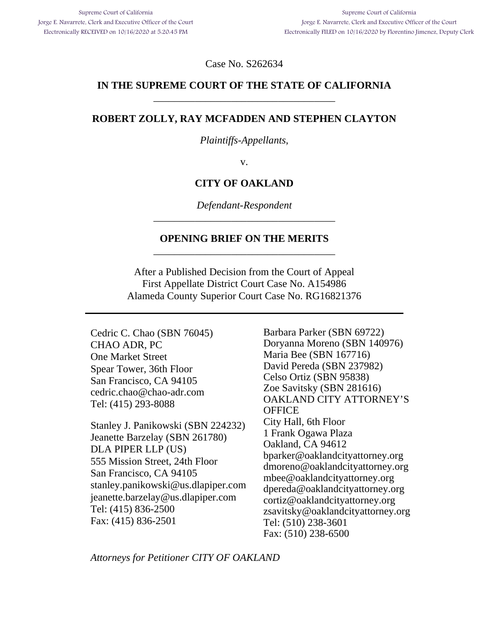Case No. S262634

## **IN THE SUPREME COURT OF THE STATE OF CALIFORNIA**  \_\_\_\_\_\_\_\_\_\_\_\_\_\_\_\_\_\_\_\_\_\_\_\_\_\_\_\_\_\_\_\_\_\_\_

### **ROBERT ZOLLY, RAY MCFADDEN AND STEPHEN CLAYTON**

*Plaintiffs-Appellants*,

v.

### **CITY OF OAKLAND**

*Defendant-Respondent*  \_\_\_\_\_\_\_\_\_\_\_\_\_\_\_\_\_\_\_\_\_\_\_\_\_\_\_\_\_\_\_\_\_\_\_

### **OPENING BRIEF ON THE MERITS**  \_\_\_\_\_\_\_\_\_\_\_\_\_\_\_\_\_\_\_\_\_\_\_\_\_\_\_\_\_\_\_\_\_\_\_

After a Published Decision from the Court of Appeal First Appellate District Court Case No. A154986 Alameda County Superior Court Case No. RG16821376

Cedric C. Chao (SBN 76045) CHAO ADR, PC One Market Street Spear Tower, 36th Floor San Francisco, CA 94105 cedric.chao@chao-adr.com Tel: (415) 293-8088

Stanley J. Panikowski (SBN 224232) Jeanette Barzelay (SBN 261780) DLA PIPER LLP (US) 555 Mission Street, 24th Floor San Francisco, CA 94105 stanley.panikowski@us.dlapiper.com jeanette.barzelay@us.dlapiper.com Tel: (415) 836-2500 Fax: (415) 836-2501

Barbara Parker (SBN 69722) Doryanna Moreno (SBN 140976) Maria Bee (SBN 167716) David Pereda (SBN 237982) Celso Ortiz (SBN 95838) Zoe Savitsky (SBN 281616) OAKLAND CITY ATTORNEY'S **OFFICE** City Hall, 6th Floor 1 Frank Ogawa Plaza Oakland, CA 94612 bparker@oaklandcityattorney.org dmoreno@oaklandcityattorney.org mbee@oaklandcityattorney.org dpereda@oaklandcityattorney.org cortiz@oaklandcityattorney.org zsavitsky@oaklandcityattorney.org Tel: (510) 238-3601 Fax: (510) 238-6500

*Attorneys for Petitioner CITY OF OAKLAND*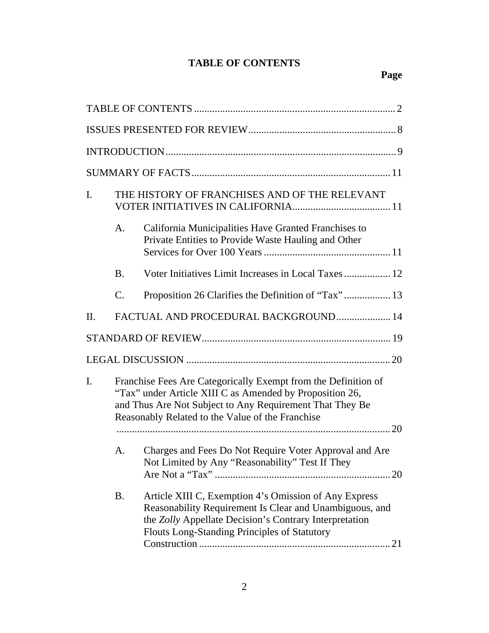## **TABLE OF CONTENTS**

| I.                                                                                                                                                                                                                                               | THE HISTORY OF FRANCHISES AND OF THE RELEVANT                                                                                                                                                                                                  |                                                                                                             |  |  |  |  |
|--------------------------------------------------------------------------------------------------------------------------------------------------------------------------------------------------------------------------------------------------|------------------------------------------------------------------------------------------------------------------------------------------------------------------------------------------------------------------------------------------------|-------------------------------------------------------------------------------------------------------------|--|--|--|--|
|                                                                                                                                                                                                                                                  | A.                                                                                                                                                                                                                                             | California Municipalities Have Granted Franchises to<br>Private Entities to Provide Waste Hauling and Other |  |  |  |  |
|                                                                                                                                                                                                                                                  | <b>B.</b>                                                                                                                                                                                                                                      | Voter Initiatives Limit Increases in Local Taxes  12                                                        |  |  |  |  |
|                                                                                                                                                                                                                                                  | $\mathcal{C}$ .                                                                                                                                                                                                                                | Proposition 26 Clarifies the Definition of "Tax" 13                                                         |  |  |  |  |
| $\prod$ .                                                                                                                                                                                                                                        |                                                                                                                                                                                                                                                | FACTUAL AND PROCEDURAL BACKGROUND 14                                                                        |  |  |  |  |
|                                                                                                                                                                                                                                                  |                                                                                                                                                                                                                                                |                                                                                                             |  |  |  |  |
|                                                                                                                                                                                                                                                  |                                                                                                                                                                                                                                                |                                                                                                             |  |  |  |  |
| Franchise Fees Are Categorically Exempt from the Definition of<br>I.<br>"Tax" under Article XIII C as Amended by Proposition 26,<br>and Thus Are Not Subject to Any Requirement That They Be<br>Reasonably Related to the Value of the Franchise |                                                                                                                                                                                                                                                |                                                                                                             |  |  |  |  |
|                                                                                                                                                                                                                                                  | А.                                                                                                                                                                                                                                             | Charges and Fees Do Not Require Voter Approval and Are<br>Not Limited by Any "Reasonability" Test If They   |  |  |  |  |
|                                                                                                                                                                                                                                                  | Article XIII C, Exemption 4's Omission of Any Express<br><b>B.</b><br>Reasonability Requirement Is Clear and Unambiguous, and<br>the Zolly Appellate Decision's Contrary Interpretation<br><b>Flouts Long-Standing Principles of Statutory</b> |                                                                                                             |  |  |  |  |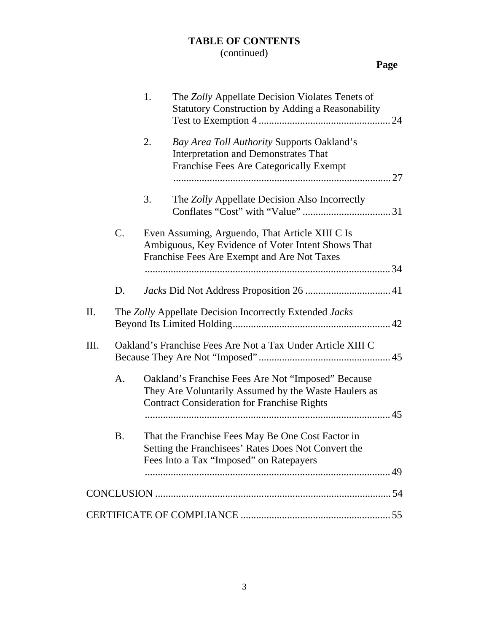# **TABLE OF CONTENTS**

# (continued)

# **Page**

|      |           | 1. | The Zolly Appellate Decision Violates Tenets of<br><b>Statutory Construction by Adding a Reasonability</b>                                                       |  |
|------|-----------|----|------------------------------------------------------------------------------------------------------------------------------------------------------------------|--|
|      |           | 2. | Bay Area Toll Authority Supports Oakland's<br><b>Interpretation and Demonstrates That</b><br>Franchise Fees Are Categorically Exempt                             |  |
|      |           | 3. | The Zolly Appellate Decision Also Incorrectly                                                                                                                    |  |
|      | C.        |    | Even Assuming, Arguendo, That Article XIII C Is<br>Ambiguous, Key Evidence of Voter Intent Shows That<br>Franchise Fees Are Exempt and Are Not Taxes             |  |
|      | D.        |    |                                                                                                                                                                  |  |
| Π.   |           |    | The Zolly Appellate Decision Incorrectly Extended Jacks                                                                                                          |  |
| III. |           |    | Oakland's Franchise Fees Are Not a Tax Under Article XIII C                                                                                                      |  |
|      | A.        |    | Oakland's Franchise Fees Are Not "Imposed" Because<br>They Are Voluntarily Assumed by the Waste Haulers as<br><b>Contract Consideration for Franchise Rights</b> |  |
|      | <b>B.</b> |    | That the Franchise Fees May Be One Cost Factor in<br>Setting the Franchisees' Rates Does Not Convert the<br>Fees Into a Tax "Imposed" on Ratepayers              |  |
|      |           |    |                                                                                                                                                                  |  |
|      |           |    |                                                                                                                                                                  |  |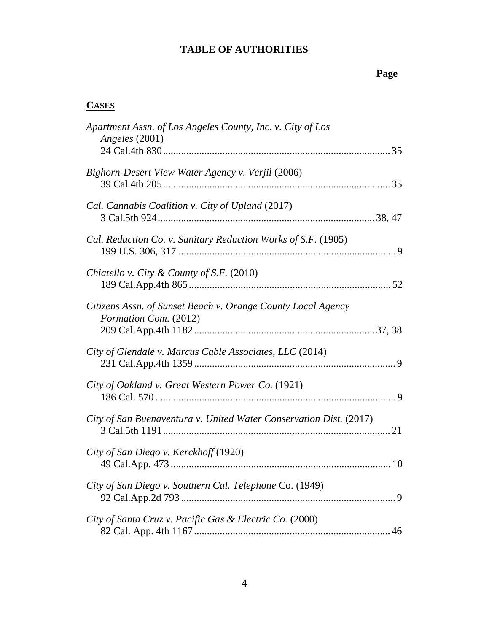# **Page**

## **CASES**

| Apartment Assn. of Los Angeles County, Inc. v. City of Los<br>Angeles (2001)          |
|---------------------------------------------------------------------------------------|
| Bighorn-Desert View Water Agency v. Verjil (2006)                                     |
| Cal. Cannabis Coalition v. City of Upland (2017)                                      |
| Cal. Reduction Co. v. Sanitary Reduction Works of S.F. (1905)                         |
| Chiatello v. City & County of S.F. (2010)                                             |
| Citizens Assn. of Sunset Beach v. Orange County Local Agency<br>Formation Com. (2012) |
| City of Glendale v. Marcus Cable Associates, LLC (2014)                               |
| City of Oakland v. Great Western Power Co. (1921)                                     |
| City of San Buenaventura v. United Water Conservation Dist. (2017)                    |
| City of San Diego v. Kerckhoff (1920)                                                 |
| City of San Diego v. Southern Cal. Telephone Co. (1949)                               |
| City of Santa Cruz v. Pacific Gas & Electric Co. (2000)                               |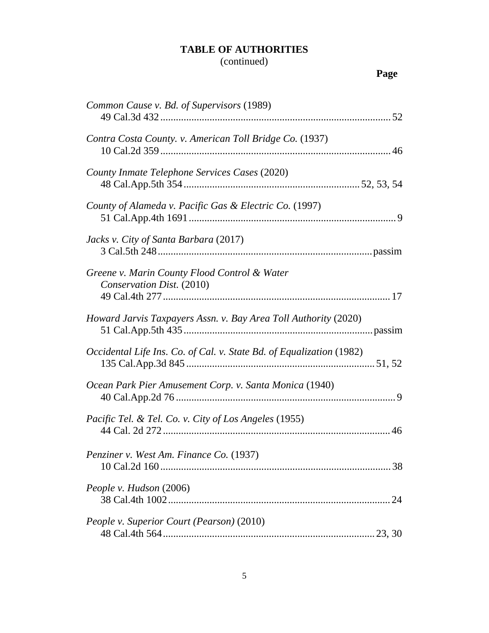## (continued)

| Common Cause v. Bd. of Supervisors (1989)                                 |
|---------------------------------------------------------------------------|
| Contra Costa County. v. American Toll Bridge Co. (1937)                   |
| County Inmate Telephone Services Cases (2020)                             |
| County of Alameda v. Pacific Gas & Electric Co. (1997)                    |
| Jacks v. City of Santa Barbara (2017)                                     |
| Greene v. Marin County Flood Control & Water<br>Conservation Dist. (2010) |
| Howard Jarvis Taxpayers Assn. v. Bay Area Toll Authority (2020)           |
| Occidental Life Ins. Co. of Cal. v. State Bd. of Equalization (1982)      |
| Ocean Park Pier Amusement Corp. v. Santa Monica (1940)                    |
| Pacific Tel. & Tel. Co. v. City of Los Angeles (1955)                     |
| Penziner v. West Am. Finance Co. (1937)                                   |
| People v. Hudson (2006)                                                   |
| People v. Superior Court (Pearson) (2010)                                 |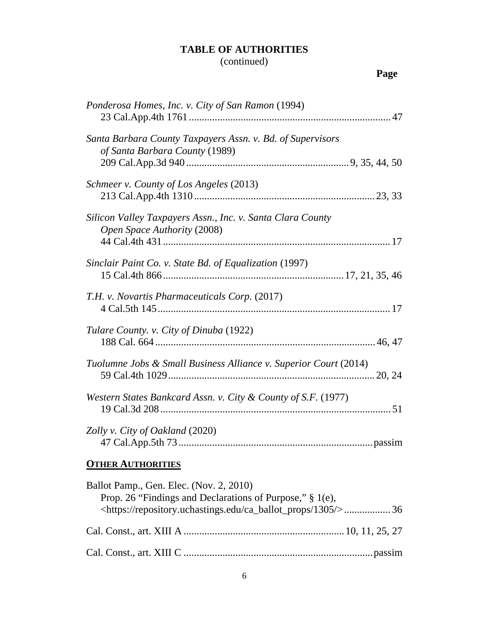## (continued)

# **Page**

| Ponderosa Homes, Inc. v. City of San Ramon (1994)                                                                                                                                   |
|-------------------------------------------------------------------------------------------------------------------------------------------------------------------------------------|
| Santa Barbara County Taxpayers Assn. v. Bd. of Supervisors<br>of Santa Barbara County (1989)                                                                                        |
| Schmeer v. County of Los Angeles (2013)                                                                                                                                             |
| Silicon Valley Taxpayers Assn., Inc. v. Santa Clara County<br>Open Space Authority (2008)                                                                                           |
| Sinclair Paint Co. v. State Bd. of Equalization (1997)                                                                                                                              |
| T.H. v. Novartis Pharmaceuticals Corp. (2017)                                                                                                                                       |
| Tulare County. v. City of Dinuba (1922)                                                                                                                                             |
| Tuolumne Jobs & Small Business Alliance v. Superior Court (2014)                                                                                                                    |
| Western States Bankcard Assn. v. City & County of S.F. (1977)                                                                                                                       |
| Zolly v. City of Oakland (2020)                                                                                                                                                     |
| <b>OTHER AUTHORITIES</b>                                                                                                                                                            |
| Ballot Pamp., Gen. Elec. (Nov. 2, 2010)<br>Prop. 26 "Findings and Declarations of Purpose," § 1(e),<br><https: 1305="" ca_ballot_props="" repository.uchastings.edu=""></https:> 36 |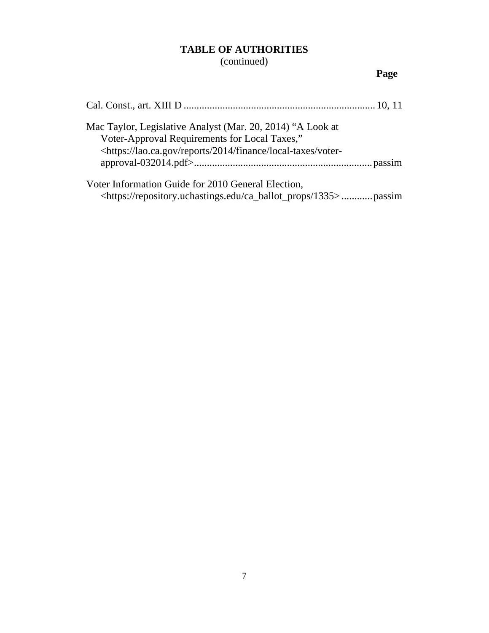(continued)

# **Page**

| Mac Taylor, Legislative Analyst (Mar. 20, 2014) "A Look at<br>Voter-Approval Requirements for Local Taxes,"<br><https: 2014="" finance="" lao.ca.gov="" local-taxes="" reports="" td="" voter-<=""></https:> |
|--------------------------------------------------------------------------------------------------------------------------------------------------------------------------------------------------------------|
| Voter Information Guide for 2010 General Election,<br><https: 1335="" ca_ballot_props="" repository.uchastings.edu="">passim</https:>                                                                        |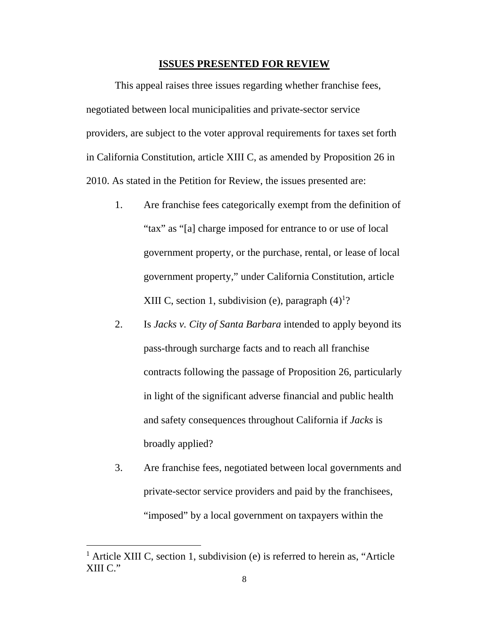#### **ISSUES PRESENTED FOR REVIEW**

This appeal raises three issues regarding whether franchise fees, negotiated between local municipalities and private-sector service providers, are subject to the voter approval requirements for taxes set forth in California Constitution, article XIII C, as amended by Proposition 26 in 2010. As stated in the Petition for Review, the issues presented are:

- 1. Are franchise fees categorically exempt from the definition of "tax" as "[a] charge imposed for entrance to or use of local government property, or the purchase, rental, or lease of local government property," under California Constitution, article XIII C, section 1, subdivision (e), paragraph  $(4)^1$ ?
- 2. Is *Jacks v. City of Santa Barbara* intended to apply beyond its pass-through surcharge facts and to reach all franchise contracts following the passage of Proposition 26, particularly in light of the significant adverse financial and public health and safety consequences throughout California if *Jacks* is broadly applied?
- 3. Are franchise fees, negotiated between local governments and private-sector service providers and paid by the franchisees, "imposed" by a local government on taxpayers within the

<sup>&</sup>lt;sup>1</sup> Article XIII C, section 1, subdivision (e) is referred to herein as, "Article XIII C."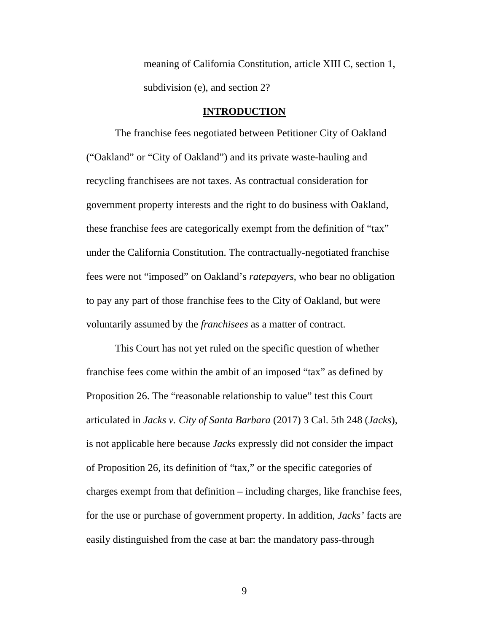meaning of California Constitution, article XIII C, section 1, subdivision (e), and section 2?

#### **INTRODUCTION**

The franchise fees negotiated between Petitioner City of Oakland ("Oakland" or "City of Oakland") and its private waste-hauling and recycling franchisees are not taxes. As contractual consideration for government property interests and the right to do business with Oakland, these franchise fees are categorically exempt from the definition of "tax" under the California Constitution. The contractually-negotiated franchise fees were not "imposed" on Oakland's *ratepayers*, who bear no obligation to pay any part of those franchise fees to the City of Oakland, but were voluntarily assumed by the *franchisees* as a matter of contract.

This Court has not yet ruled on the specific question of whether franchise fees come within the ambit of an imposed "tax" as defined by Proposition 26. The "reasonable relationship to value" test this Court articulated in *Jacks v. City of Santa Barbara* (2017) 3 Cal. 5th 248 (*Jacks*), is not applicable here because *Jacks* expressly did not consider the impact of Proposition 26, its definition of "tax," or the specific categories of charges exempt from that definition – including charges, like franchise fees, for the use or purchase of government property. In addition, *Jacks'* facts are easily distinguished from the case at bar: the mandatory pass-through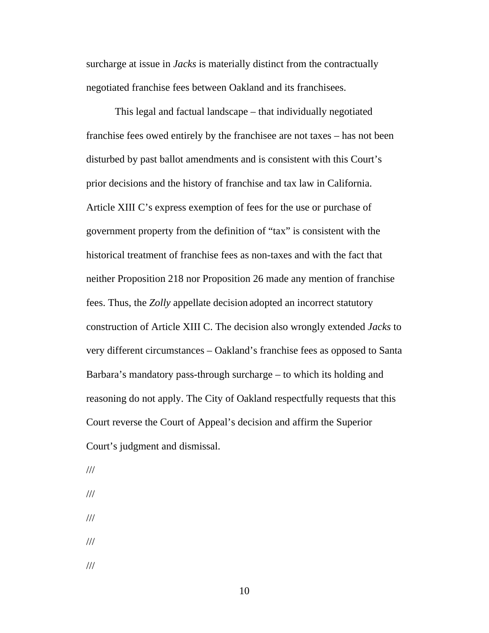surcharge at issue in *Jacks* is materially distinct from the contractually negotiated franchise fees between Oakland and its franchisees.

This legal and factual landscape – that individually negotiated franchise fees owed entirely by the franchisee are not taxes – has not been disturbed by past ballot amendments and is consistent with this Court's prior decisions and the history of franchise and tax law in California. Article XIII C's express exemption of fees for the use or purchase of government property from the definition of "tax" is consistent with the historical treatment of franchise fees as non-taxes and with the fact that neither Proposition 218 nor Proposition 26 made any mention of franchise fees. Thus, the *Zolly* appellate decision adopted an incorrect statutory construction of Article XIII C. The decision also wrongly extended *Jacks* to very different circumstances – Oakland's franchise fees as opposed to Santa Barbara's mandatory pass-through surcharge – to which its holding and reasoning do not apply. The City of Oakland respectfully requests that this Court reverse the Court of Appeal's decision and affirm the Superior Court's judgment and dismissal.

- /// ///
- 
- ///
- ///
- ///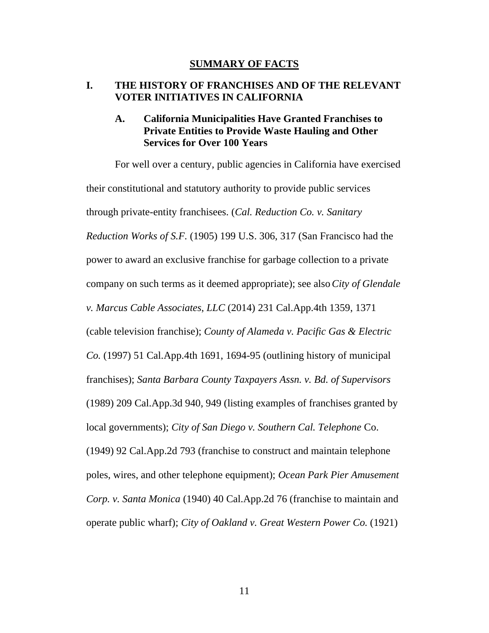#### **SUMMARY OF FACTS**

### **I. THE HISTORY OF FRANCHISES AND OF THE RELEVANT VOTER INITIATIVES IN CALIFORNIA**

## **A. California Municipalities Have Granted Franchises to Private Entities to Provide Waste Hauling and Other Services for Over 100 Years**

For well over a century, public agencies in California have exercised their constitutional and statutory authority to provide public services through private-entity franchisees. (*Cal. Reduction Co. v. Sanitary Reduction Works of S.F.* (1905) 199 U.S. 306, 317 (San Francisco had the power to award an exclusive franchise for garbage collection to a private company on such terms as it deemed appropriate); see also*City of Glendale v. Marcus Cable Associates*, *LLC* (2014) 231 Cal.App.4th 1359, 1371 (cable television franchise); *County of Alameda v. Pacific Gas & Electric Co.* (1997) 51 Cal.App.4th 1691, 1694-95 (outlining history of municipal franchises); *Santa Barbara County Taxpayers Assn. v. Bd. of Supervisors*  (1989) 209 Cal.App.3d 940, 949 (listing examples of franchises granted by local governments); *City of San Diego v. Southern Cal. Telephone* Co. (1949) 92 Cal.App.2d 793 (franchise to construct and maintain telephone poles, wires, and other telephone equipment); *Ocean Park Pier Amusement Corp. v. Santa Monica* (1940) 40 Cal.App.2d 76 (franchise to maintain and operate public wharf); *City of Oakland v. Great Western Power Co.* (1921)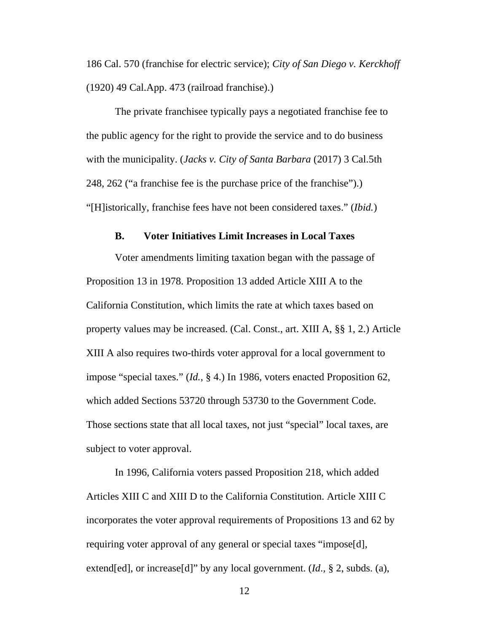186 Cal. 570 (franchise for electric service); *City of San Diego v. Kerckhoff* (1920) 49 Cal.App. 473 (railroad franchise).)

The private franchisee typically pays a negotiated franchise fee to the public agency for the right to provide the service and to do business with the municipality. (*Jacks v. City of Santa Barbara* (2017) 3 Cal.5th 248, 262 ("a franchise fee is the purchase price of the franchise").) "[H]istorically, franchise fees have not been considered taxes." (*Ibid.*)

#### **B. Voter Initiatives Limit Increases in Local Taxes**

Voter amendments limiting taxation began with the passage of Proposition 13 in 1978. Proposition 13 added Article XIII A to the California Constitution, which limits the rate at which taxes based on property values may be increased. (Cal. Const., art. XIII A, §§ 1, 2.) Article XIII A also requires two-thirds voter approval for a local government to impose "special taxes." (*Id.*, § 4.) In 1986, voters enacted Proposition 62, which added Sections 53720 through 53730 to the Government Code. Those sections state that all local taxes, not just "special" local taxes, are subject to voter approval.

In 1996, California voters passed Proposition 218, which added Articles XIII C and XIII D to the California Constitution. Article XIII C incorporates the voter approval requirements of Propositions 13 and 62 by requiring voter approval of any general or special taxes "impose[d], extend[ed], or increase[d]" by any local government. (*Id*., § 2, subds. (a),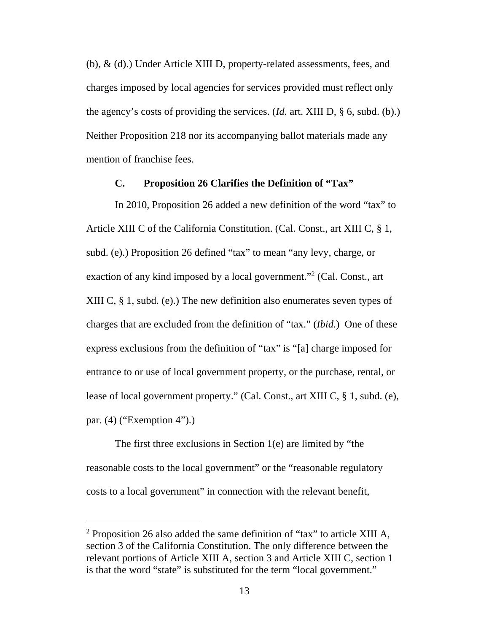(b), & (d).) Under Article XIII D, property-related assessments, fees, and charges imposed by local agencies for services provided must reflect only the agency's costs of providing the services. (*Id.* art. XIII D, § 6, subd. (b).) Neither Proposition 218 nor its accompanying ballot materials made any mention of franchise fees.

#### **C. Proposition 26 Clarifies the Definition of "Tax"**

In 2010, Proposition 26 added a new definition of the word "tax" to Article XIII C of the California Constitution. (Cal. Const., art XIII C, § 1, subd. (e).) Proposition 26 defined "tax" to mean "any levy, charge, or exaction of any kind imposed by a local government."<sup>2</sup> (Cal. Const., art XIII C, § 1, subd. (e).) The new definition also enumerates seven types of charges that are excluded from the definition of "tax." (*Ibid.*) One of these express exclusions from the definition of "tax" is "[a] charge imposed for entrance to or use of local government property, or the purchase, rental, or lease of local government property." (Cal. Const., art XIII C, § 1, subd. (e), par. (4) ("Exemption 4").)

The first three exclusions in Section 1(e) are limited by "the reasonable costs to the local government" or the "reasonable regulatory costs to a local government" in connection with the relevant benefit,

<sup>&</sup>lt;sup>2</sup> Proposition 26 also added the same definition of "tax" to article XIII A, section 3 of the California Constitution. The only difference between the relevant portions of Article XIII A, section 3 and Article XIII C, section 1 is that the word "state" is substituted for the term "local government."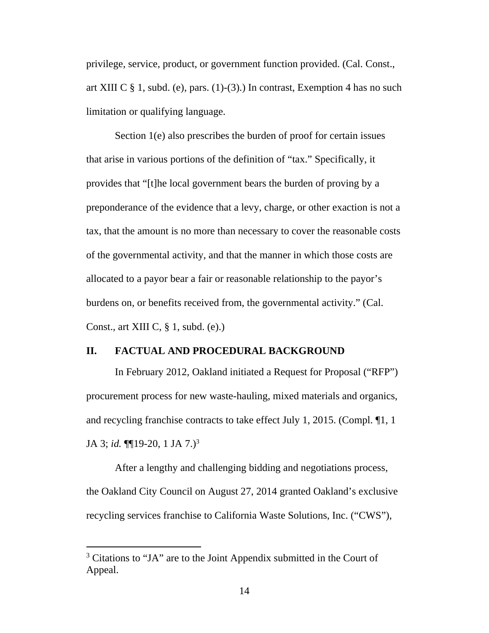privilege, service, product, or government function provided. (Cal. Const., art XIII C  $\S$  1, subd. (e), pars. (1)-(3).) In contrast, Exemption 4 has no such limitation or qualifying language.

Section 1(e) also prescribes the burden of proof for certain issues that arise in various portions of the definition of "tax." Specifically, it provides that "[t]he local government bears the burden of proving by a preponderance of the evidence that a levy, charge, or other exaction is not a tax, that the amount is no more than necessary to cover the reasonable costs of the governmental activity, and that the manner in which those costs are allocated to a payor bear a fair or reasonable relationship to the payor's burdens on, or benefits received from, the governmental activity." (Cal. Const., art XIII C,  $\S$  1, subd. (e).)

#### **II. FACTUAL AND PROCEDURAL BACKGROUND**

In February 2012, Oakland initiated a Request for Proposal ("RFP") procurement process for new waste-hauling, mixed materials and organics, and recycling franchise contracts to take effect July 1, 2015. (Compl. ¶1, 1 JA 3; *id.* ¶¶19-20, 1 JA 7.)<sup>3</sup>

After a lengthy and challenging bidding and negotiations process, the Oakland City Council on August 27, 2014 granted Oakland's exclusive recycling services franchise to California Waste Solutions, Inc. ("CWS"),

<sup>&</sup>lt;sup>3</sup> Citations to "JA" are to the Joint Appendix submitted in the Court of Appeal.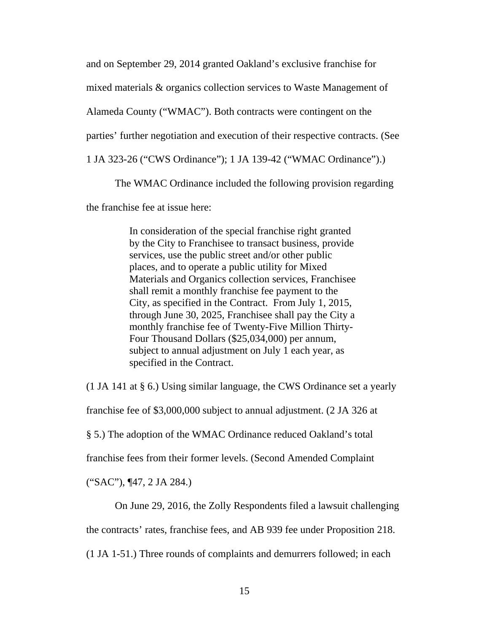and on September 29, 2014 granted Oakland's exclusive franchise for

mixed materials & organics collection services to Waste Management of

Alameda County ("WMAC"). Both contracts were contingent on the

parties' further negotiation and execution of their respective contracts. (See

1 JA 323-26 ("CWS Ordinance"); 1 JA 139-42 ("WMAC Ordinance").)

The WMAC Ordinance included the following provision regarding

the franchise fee at issue here:

In consideration of the special franchise right granted by the City to Franchisee to transact business, provide services, use the public street and/or other public places, and to operate a public utility for Mixed Materials and Organics collection services, Franchisee shall remit a monthly franchise fee payment to the City, as specified in the Contract. From July 1, 2015, through June 30, 2025, Franchisee shall pay the City a monthly franchise fee of Twenty-Five Million Thirty-Four Thousand Dollars (\$25,034,000) per annum, subject to annual adjustment on July 1 each year, as specified in the Contract.

(1 JA 141 at § 6.) Using similar language, the CWS Ordinance set a yearly

franchise fee of \$3,000,000 subject to annual adjustment. (2 JA 326 at

§ 5.) The adoption of the WMAC Ordinance reduced Oakland's total

franchise fees from their former levels. (Second Amended Complaint

("SAC"), ¶47, 2 JA 284.)

On June 29, 2016, the Zolly Respondents filed a lawsuit challenging

the contracts' rates, franchise fees, and AB 939 fee under Proposition 218.

(1 JA 1-51.) Three rounds of complaints and demurrers followed; in each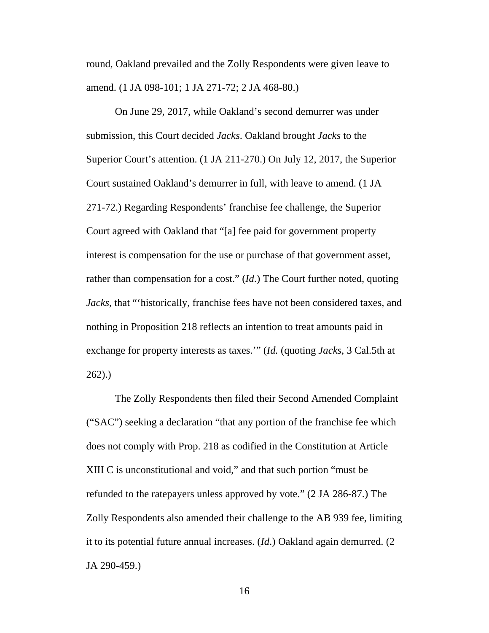round, Oakland prevailed and the Zolly Respondents were given leave to amend. (1 JA 098-101; 1 JA 271-72; 2 JA 468-80.)

On June 29, 2017, while Oakland's second demurrer was under submission, this Court decided *Jacks*. Oakland brought *Jacks* to the Superior Court's attention. (1 JA 211-270.) On July 12, 2017, the Superior Court sustained Oakland's demurrer in full, with leave to amend. (1 JA 271-72.) Regarding Respondents' franchise fee challenge, the Superior Court agreed with Oakland that "[a] fee paid for government property interest is compensation for the use or purchase of that government asset, rather than compensation for a cost." (*Id*.) The Court further noted, quoting *Jacks*, that "'historically, franchise fees have not been considered taxes, and nothing in Proposition 218 reflects an intention to treat amounts paid in exchange for property interests as taxes.'" (*Id.* (quoting *Jacks*, 3 Cal.5th at 262).)

The Zolly Respondents then filed their Second Amended Complaint ("SAC") seeking a declaration "that any portion of the franchise fee which does not comply with Prop. 218 as codified in the Constitution at Article XIII C is unconstitutional and void," and that such portion "must be refunded to the ratepayers unless approved by vote." (2 JA 286-87.) The Zolly Respondents also amended their challenge to the AB 939 fee, limiting it to its potential future annual increases. (*Id*.) Oakland again demurred. (2 JA 290-459.)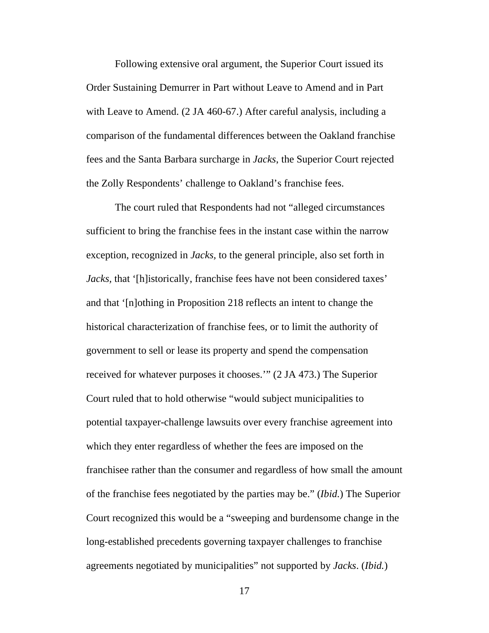Following extensive oral argument, the Superior Court issued its Order Sustaining Demurrer in Part without Leave to Amend and in Part with Leave to Amend. (2 JA 460-67.) After careful analysis, including a comparison of the fundamental differences between the Oakland franchise fees and the Santa Barbara surcharge in *Jacks*, the Superior Court rejected the Zolly Respondents' challenge to Oakland's franchise fees.

The court ruled that Respondents had not "alleged circumstances sufficient to bring the franchise fees in the instant case within the narrow exception, recognized in *Jacks,* to the general principle, also set forth in *Jacks,* that '[h]istorically, franchise fees have not been considered taxes' and that '[n]othing in Proposition 218 reflects an intent to change the historical characterization of franchise fees, or to limit the authority of government to sell or lease its property and spend the compensation received for whatever purposes it chooses.'" (2 JA 473.) The Superior Court ruled that to hold otherwise "would subject municipalities to potential taxpayer-challenge lawsuits over every franchise agreement into which they enter regardless of whether the fees are imposed on the franchisee rather than the consumer and regardless of how small the amount of the franchise fees negotiated by the parties may be." (*Ibid.*) The Superior Court recognized this would be a "sweeping and burdensome change in the long-established precedents governing taxpayer challenges to franchise agreements negotiated by municipalities" not supported by *Jacks*. (*Ibid.*)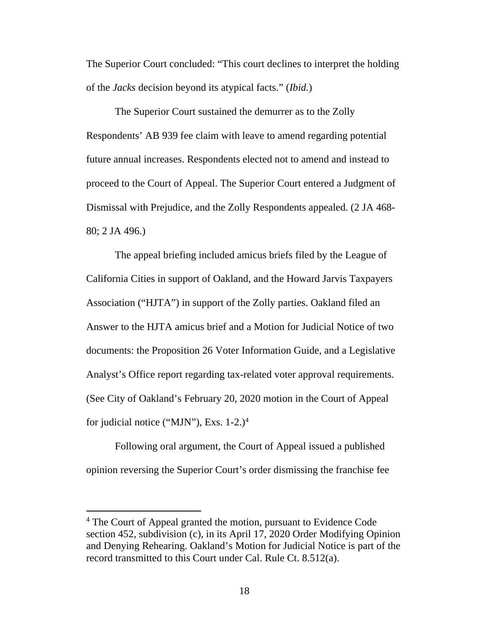The Superior Court concluded: "This court declines to interpret the holding of the *Jacks* decision beyond its atypical facts." (*Ibid.*)

The Superior Court sustained the demurrer as to the Zolly Respondents' AB 939 fee claim with leave to amend regarding potential future annual increases. Respondents elected not to amend and instead to proceed to the Court of Appeal. The Superior Court entered a Judgment of Dismissal with Prejudice, and the Zolly Respondents appealed. (2 JA 468- 80; 2 JA 496.)

The appeal briefing included amicus briefs filed by the League of California Cities in support of Oakland, and the Howard Jarvis Taxpayers Association ("HJTA") in support of the Zolly parties. Oakland filed an Answer to the HJTA amicus brief and a Motion for Judicial Notice of two documents: the Proposition 26 Voter Information Guide, and a Legislative Analyst's Office report regarding tax-related voter approval requirements. (See City of Oakland's February 20, 2020 motion in the Court of Appeal for judicial notice ("MJN"), Exs.  $1-2.$ )<sup>4</sup>

Following oral argument, the Court of Appeal issued a published opinion reversing the Superior Court's order dismissing the franchise fee

<sup>&</sup>lt;sup>4</sup> The Court of Appeal granted the motion, pursuant to Evidence Code section 452, subdivision (c), in its April 17, 2020 Order Modifying Opinion and Denying Rehearing. Oakland's Motion for Judicial Notice is part of the record transmitted to this Court under Cal. Rule Ct. 8.512(a).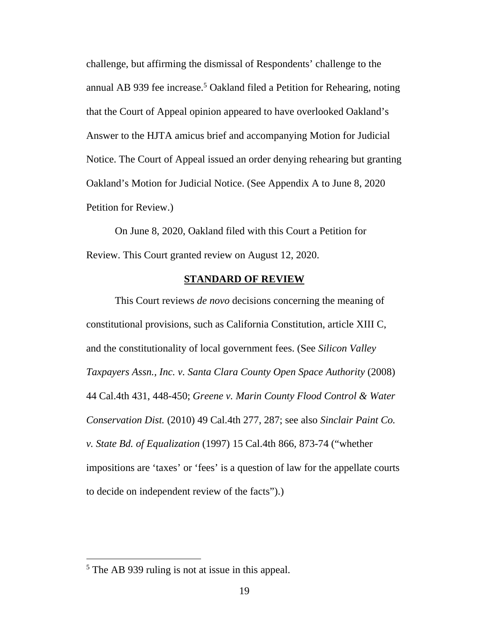challenge, but affirming the dismissal of Respondents' challenge to the annual AB 939 fee increase.<sup>5</sup> Oakland filed a Petition for Rehearing, noting that the Court of Appeal opinion appeared to have overlooked Oakland's Answer to the HJTA amicus brief and accompanying Motion for Judicial Notice. The Court of Appeal issued an order denying rehearing but granting Oakland's Motion for Judicial Notice. (See Appendix A to June 8, 2020 Petition for Review.)

On June 8, 2020, Oakland filed with this Court a Petition for Review. This Court granted review on August 12, 2020.

### **STANDARD OF REVIEW**

This Court reviews *de novo* decisions concerning the meaning of constitutional provisions, such as California Constitution, article XIII C, and the constitutionality of local government fees. (See *Silicon Valley Taxpayers Assn., Inc. v. Santa Clara County Open Space Authority (2008)* 44 Cal.4th 431, 448-450; *Greene v. Marin County Flood Control & Water Conservation Dist.* (2010) 49 Cal.4th 277, 287; see also *Sinclair Paint Co. v. State Bd. of Equalization* (1997) 15 Cal.4th 866, 873-74 ("whether impositions are 'taxes' or 'fees' is a question of law for the appellate courts to decide on independent review of the facts").)

<sup>&</sup>lt;sup>5</sup> The AB 939 ruling is not at issue in this appeal.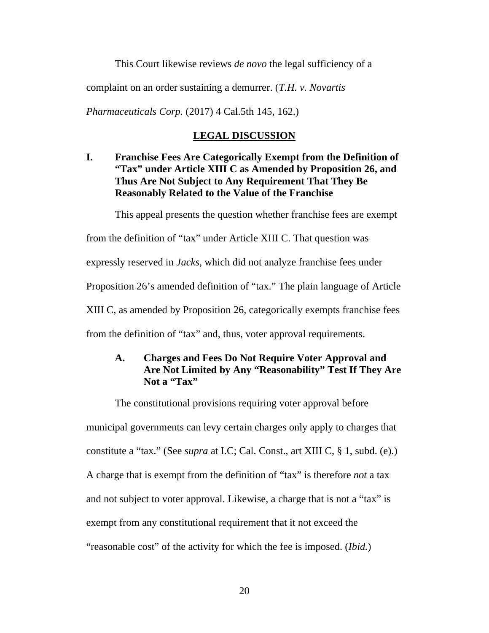This Court likewise reviews *de novo* the legal sufficiency of a

complaint on an order sustaining a demurrer. (*T.H. v. Novartis* 

*Pharmaceuticals Corp.* (2017) 4 Cal.5th 145, 162.)

#### **LEGAL DISCUSSION**

**I. Franchise Fees Are Categorically Exempt from the Definition of "Tax" under Article XIII C as Amended by Proposition 26, and Thus Are Not Subject to Any Requirement That They Be Reasonably Related to the Value of the Franchise** 

This appeal presents the question whether franchise fees are exempt

from the definition of "tax" under Article XIII C. That question was

expressly reserved in *Jacks*, which did not analyze franchise fees under

Proposition 26's amended definition of "tax." The plain language of Article

XIII C, as amended by Proposition 26, categorically exempts franchise fees

from the definition of "tax" and, thus, voter approval requirements.

## **A. Charges and Fees Do Not Require Voter Approval and Are Not Limited by Any "Reasonability" Test If They Are**  Not a "Tax"

The constitutional provisions requiring voter approval before municipal governments can levy certain charges only apply to charges that constitute a "tax." (See *supra* at I.C; Cal. Const., art XIII C, § 1, subd. (e).) A charge that is exempt from the definition of "tax" is therefore *not* a tax and not subject to voter approval. Likewise, a charge that is not a "tax" is exempt from any constitutional requirement that it not exceed the "reasonable cost" of the activity for which the fee is imposed. (*Ibid.*)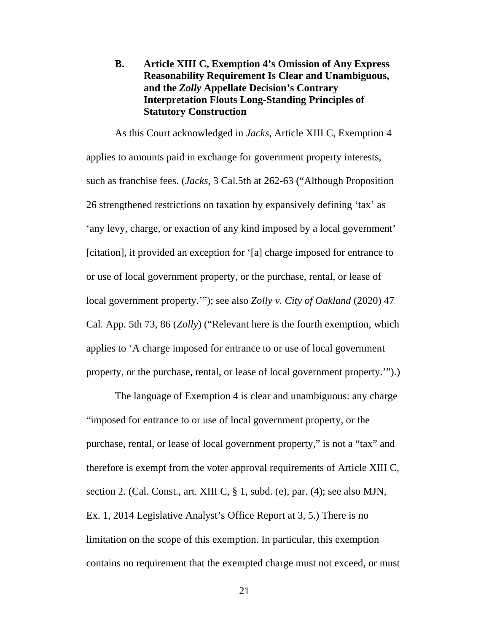## **B. Article XIII C, Exemption 4's Omission of Any Express Reasonability Requirement Is Clear and Unambiguous, and the** *Zolly* **Appellate Decision's Contrary Interpretation Flouts Long-Standing Principles of Statutory Construction**

As this Court acknowledged in *Jacks*, Article XIII C, Exemption 4 applies to amounts paid in exchange for government property interests, such as franchise fees. (*Jacks*, 3 Cal.5th at 262-63 ("Although Proposition 26 strengthened restrictions on taxation by expansively defining 'tax' as 'any levy, charge, or exaction of any kind imposed by a local government' [citation], it provided an exception for '[a] charge imposed for entrance to or use of local government property, or the purchase, rental, or lease of local government property.'"); see also *Zolly v. City of Oakland* (2020) 47 Cal. App. 5th 73, 86 (*Zolly*) ("Relevant here is the fourth exemption, which applies to 'A charge imposed for entrance to or use of local government property, or the purchase, rental, or lease of local government property.'").)

The language of Exemption 4 is clear and unambiguous: any charge "imposed for entrance to or use of local government property, or the purchase, rental, or lease of local government property," is not a "tax" and therefore is exempt from the voter approval requirements of Article XIII C, section 2. (Cal. Const., art. XIII C, § 1, subd. (e), par. (4); see also MJN, Ex. 1, 2014 Legislative Analyst's Office Report at 3, 5.) There is no limitation on the scope of this exemption. In particular, this exemption contains no requirement that the exempted charge must not exceed, or must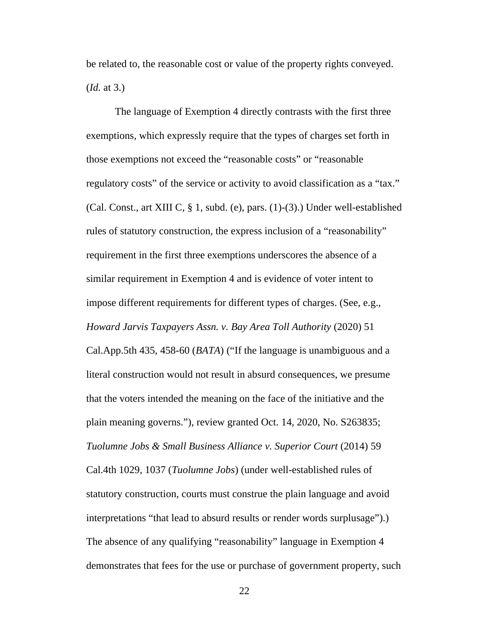be related to, the reasonable cost or value of the property rights conveyed. (*Id.* at 3.)

The language of Exemption 4 directly contrasts with the first three exemptions, which expressly require that the types of charges set forth in those exemptions not exceed the "reasonable costs" or "reasonable regulatory costs" of the service or activity to avoid classification as a "tax." (Cal. Const., art XIII C, § 1, subd. (e), pars. (1)-(3).) Under well-established rules of statutory construction, the express inclusion of a "reasonability" requirement in the first three exemptions underscores the absence of a similar requirement in Exemption 4 and is evidence of voter intent to impose different requirements for different types of charges. (See, e.g., *Howard Jarvis Taxpayers Assn. v. Bay Area Toll Authority* (2020) 51

Cal.App.5th 435, 458-60 (*BATA*) ("If the language is unambiguous and a literal construction would not result in absurd consequences, we presume that the voters intended the meaning on the face of the initiative and the plain meaning governs."), review granted Oct. 14, 2020, No. S263835; *Tuolumne Jobs & Small Business Alliance v. Superior Court* (2014) 59 Cal.4th 1029, 1037 (*Tuolumne Jobs*) (under well-established rules of statutory construction, courts must construe the plain language and avoid interpretations "that lead to absurd results or render words surplusage").) The absence of any qualifying "reasonability" language in Exemption 4 demonstrates that fees for the use or purchase of government property, such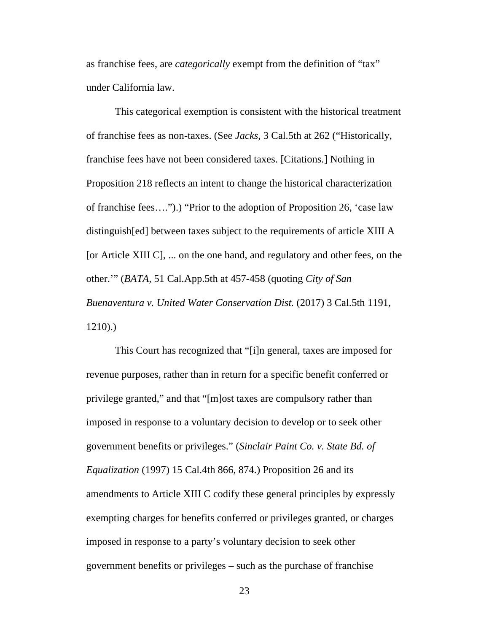as franchise fees, are *categorically* exempt from the definition of "tax" under California law.

This categorical exemption is consistent with the historical treatment of franchise fees as non-taxes. (See *Jacks*, 3 Cal.5th at 262 ("Historically, franchise fees have not been considered taxes. [Citations.] Nothing in Proposition 218 reflects an intent to change the historical characterization of franchise fees….").) "Prior to the adoption of Proposition 26, 'case law distinguish[ed] between taxes subject to the requirements of article XIII A [or Article XIII C], ... on the one hand, and regulatory and other fees, on the other.'" (*BATA,* 51 Cal.App.5th at 457-458 (quoting *City of San Buenaventura v. United Water Conservation Dist.* (2017) 3 Cal.5th 1191, 1210).)

This Court has recognized that "[i]n general, taxes are imposed for revenue purposes, rather than in return for a specific benefit conferred or privilege granted," and that "[m]ost taxes are compulsory rather than imposed in response to a voluntary decision to develop or to seek other government benefits or privileges." (*Sinclair Paint Co. v. State Bd. of Equalization* (1997) 15 Cal.4th 866, 874.) Proposition 26 and its amendments to Article XIII C codify these general principles by expressly exempting charges for benefits conferred or privileges granted, or charges imposed in response to a party's voluntary decision to seek other government benefits or privileges – such as the purchase of franchise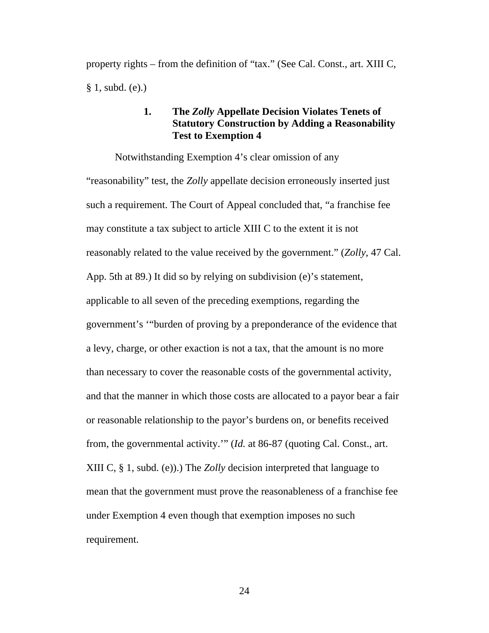property rights – from the definition of "tax." (See Cal. Const., art. XIII C, § 1, subd. (e).)

## **1. The** *Zolly* **Appellate Decision Violates Tenets of Statutory Construction by Adding a Reasonability Test to Exemption 4**

Notwithstanding Exemption 4's clear omission of any "reasonability" test, the *Zolly* appellate decision erroneously inserted just such a requirement. The Court of Appeal concluded that, "a franchise fee may constitute a tax subject to article XIII C to the extent it is not reasonably related to the value received by the government." (*Zolly*, 47 Cal. App. 5th at 89.) It did so by relying on subdivision (e)'s statement, applicable to all seven of the preceding exemptions, regarding the government's '"burden of proving by a preponderance of the evidence that a levy, charge, or other exaction is not a tax, that the amount is no more than necessary to cover the reasonable costs of the governmental activity, and that the manner in which those costs are allocated to a payor bear a fair or reasonable relationship to the payor's burdens on, or benefits received from, the governmental activity.'" (*Id.* at 86-87 (quoting Cal. Const., art. XIII C, § 1, subd. (e)).) The *Zolly* decision interpreted that language to mean that the government must prove the reasonableness of a franchise fee under Exemption 4 even though that exemption imposes no such requirement.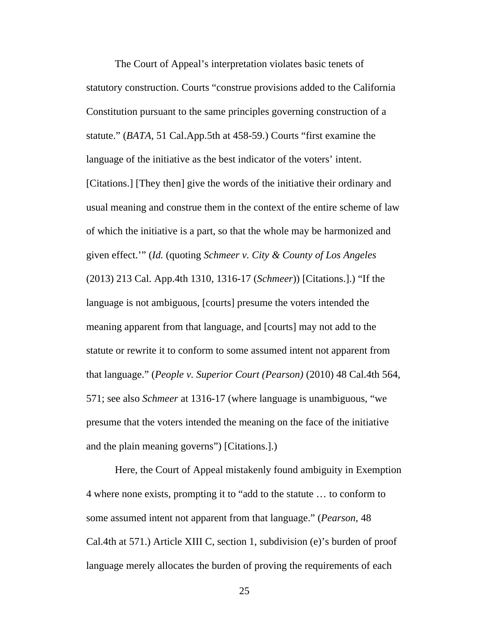The Court of Appeal's interpretation violates basic tenets of statutory construction. Courts "construe provisions added to the California Constitution pursuant to the same principles governing construction of a statute." (*BATA,* 51 Cal.App.5th at 458-59.) Courts "first examine the language of the initiative as the best indicator of the voters' intent. [Citations.] [They then] give the words of the initiative their ordinary and usual meaning and construe them in the context of the entire scheme of law of which the initiative is a part, so that the whole may be harmonized and given effect.'" (*Id.* (quoting *Schmeer v. City & County of Los Angeles* (2013) 213 Cal. App.4th 1310, 1316-17 (*Schmeer*)) [Citations.].) "If the language is not ambiguous, [courts] presume the voters intended the meaning apparent from that language, and [courts] may not add to the statute or rewrite it to conform to some assumed intent not apparent from that language." (*People v. Superior Court (Pearson)* (2010) 48 Cal.4th 564, 571; see also *Schmeer* at 1316-17 (where language is unambiguous, "we presume that the voters intended the meaning on the face of the initiative and the plain meaning governs") [Citations.].)

Here, the Court of Appeal mistakenly found ambiguity in Exemption 4 where none exists, prompting it to "add to the statute … to conform to some assumed intent not apparent from that language." (*Pearson*, 48 Cal.4th at 571.) Article XIII C, section 1, subdivision (e)'s burden of proof language merely allocates the burden of proving the requirements of each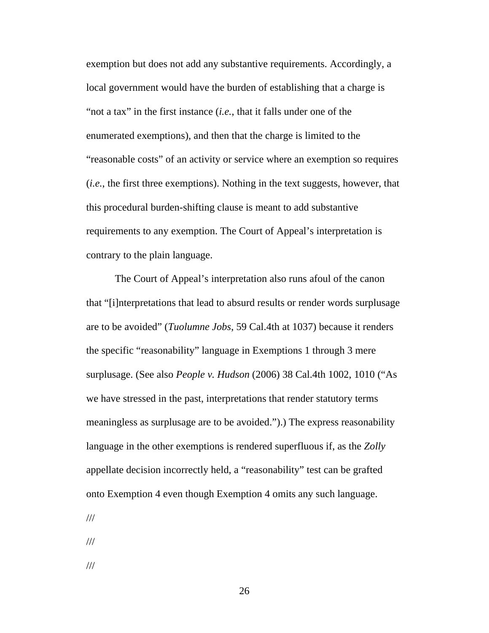exemption but does not add any substantive requirements. Accordingly, a local government would have the burden of establishing that a charge is "not a tax" in the first instance (*i.e.*, that it falls under one of the enumerated exemptions), and then that the charge is limited to the "reasonable costs" of an activity or service where an exemption so requires (*i.e.*, the first three exemptions). Nothing in the text suggests, however, that this procedural burden-shifting clause is meant to add substantive requirements to any exemption. The Court of Appeal's interpretation is contrary to the plain language.

The Court of Appeal's interpretation also runs afoul of the canon that "[i]nterpretations that lead to absurd results or render words surplusage are to be avoided" (*Tuolumne Jobs*, 59 Cal.4th at 1037) because it renders the specific "reasonability" language in Exemptions 1 through 3 mere surplusage. (See also *People v. Hudson* (2006) 38 Cal.4th 1002, 1010 ("As we have stressed in the past, interpretations that render statutory terms meaningless as surplusage are to be avoided.").) The express reasonability language in the other exemptions is rendered superfluous if, as the *Zolly* appellate decision incorrectly held, a "reasonability" test can be grafted onto Exemption 4 even though Exemption 4 omits any such language.

///

///

///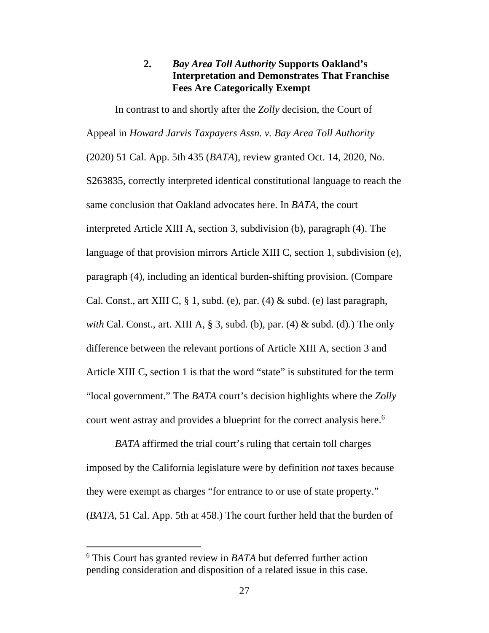## **2.** *Bay Area Toll Authority* **Supports Oakland's Interpretation and Demonstrates That Franchise Fees Are Categorically Exempt**

In contrast to and shortly after the *Zolly* decision, the Court of Appeal in *Howard Jarvis Taxpayers Assn. v. Bay Area Toll Authority* (2020) 51 Cal. App. 5th 435 (*BATA*), review granted Oct. 14, 2020, No. S263835, correctly interpreted identical constitutional language to reach the same conclusion that Oakland advocates here. In *BATA*, the court interpreted Article XIII A, section 3, subdivision (b), paragraph (4). The language of that provision mirrors Article XIII C, section 1, subdivision (e), paragraph (4), including an identical burden-shifting provision. (Compare Cal. Const., art XIII C,  $\S$  1, subd. (e), par. (4)  $\&$  subd. (e) last paragraph, *with* Cal. Const., art. XIII A, § 3, subd. (b), par. (4) & subd. (d).) The only difference between the relevant portions of Article XIII A, section 3 and Article XIII C, section 1 is that the word "state" is substituted for the term "local government." The *BATA* court's decision highlights where the *Zolly* court went astray and provides a blueprint for the correct analysis here.<sup>6</sup>

*BATA* affirmed the trial court's ruling that certain toll charges imposed by the California legislature were by definition *not* taxes because they were exempt as charges "for entrance to or use of state property." (*BATA*, 51 Cal. App. 5th at 458.) The court further held that the burden of

<sup>6</sup> This Court has granted review in *BATA* but deferred further action pending consideration and disposition of a related issue in this case.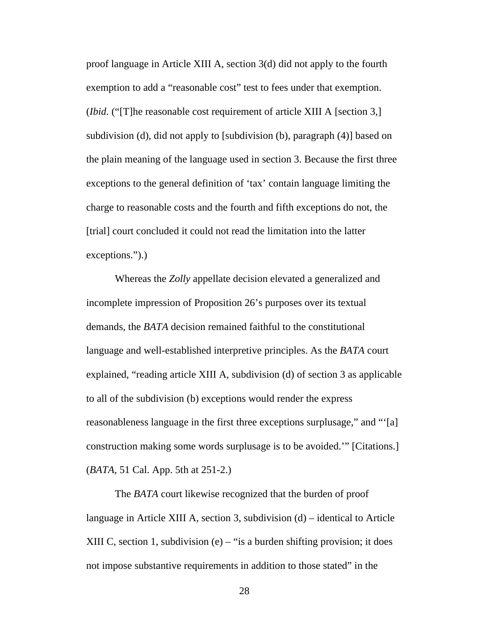proof language in Article XIII A, section 3(d) did not apply to the fourth exemption to add a "reasonable cost" test to fees under that exemption. (*Ibid.* ("[T]he reasonable cost requirement of article XIII A [section 3,] subdivision (d), did not apply to [subdivision (b), paragraph (4)] based on the plain meaning of the language used in section 3. Because the first three exceptions to the general definition of 'tax' contain language limiting the charge to reasonable costs and the fourth and fifth exceptions do not, the [trial] court concluded it could not read the limitation into the latter exceptions.").)

Whereas the *Zolly* appellate decision elevated a generalized and incomplete impression of Proposition 26's purposes over its textual demands, the *BATA* decision remained faithful to the constitutional language and well-established interpretive principles. As the *BATA* court explained, "reading article XIII A, subdivision (d) of section 3 as applicable to all of the subdivision (b) exceptions would render the express reasonableness language in the first three exceptions surplusage," and "'[a] construction making some words surplusage is to be avoided.'" [Citations.] (*BATA*, 51 Cal. App. 5th at 251-2.)

The *BATA* court likewise recognized that the burden of proof language in Article XIII A, section 3, subdivision (d) – identical to Article XIII C, section 1, subdivision  $(e)$  – "is a burden shifting provision; it does not impose substantive requirements in addition to those stated" in the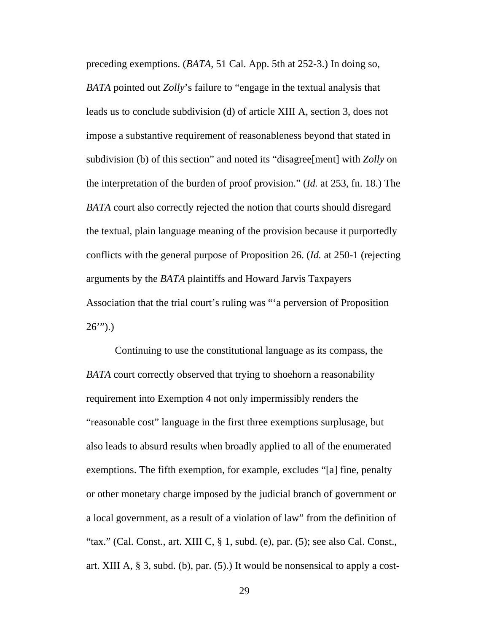preceding exemptions. (*BATA*, 51 Cal. App. 5th at 252-3.) In doing so, *BATA* pointed out *Zolly*'s failure to "engage in the textual analysis that leads us to conclude subdivision (d) of article XIII A, section 3, does not impose a substantive requirement of reasonableness beyond that stated in subdivision (b) of this section" and noted its "disagree[ment] with *Zolly* on the interpretation of the burden of proof provision." (*Id.* at 253, fn. 18.) The *BATA* court also correctly rejected the notion that courts should disregard the textual, plain language meaning of the provision because it purportedly conflicts with the general purpose of Proposition 26. (*Id.* at 250-1 (rejecting arguments by the *BATA* plaintiffs and Howard Jarvis Taxpayers Association that the trial court's ruling was "'a perversion of Proposition  $26$ ").)

Continuing to use the constitutional language as its compass, the *BATA* court correctly observed that trying to shoehorn a reasonability requirement into Exemption 4 not only impermissibly renders the "reasonable cost" language in the first three exemptions surplusage, but also leads to absurd results when broadly applied to all of the enumerated exemptions. The fifth exemption, for example, excludes "[a] fine, penalty or other monetary charge imposed by the judicial branch of government or a local government, as a result of a violation of law" from the definition of "tax." (Cal. Const., art. XIII C,  $\S$  1, subd. (e), par. (5); see also Cal. Const., art. XIII A, § 3, subd. (b), par. (5).) It would be nonsensical to apply a cost-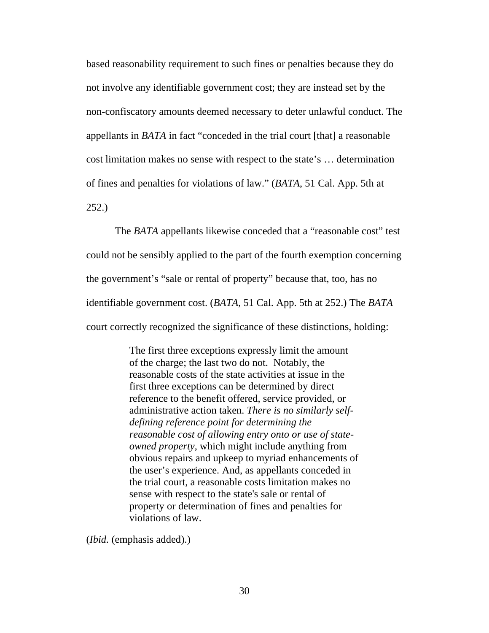based reasonability requirement to such fines or penalties because they do not involve any identifiable government cost; they are instead set by the non-confiscatory amounts deemed necessary to deter unlawful conduct. The appellants in *BATA* in fact "conceded in the trial court [that] a reasonable cost limitation makes no sense with respect to the state's … determination of fines and penalties for violations of law." (*BATA*, 51 Cal. App. 5th at 252.)

The *BATA* appellants likewise conceded that a "reasonable cost" test could not be sensibly applied to the part of the fourth exemption concerning the government's "sale or rental of property" because that, too, has no identifiable government cost. (*BATA*, 51 Cal. App. 5th at 252.) The *BATA*  court correctly recognized the significance of these distinctions, holding:

> The first three exceptions expressly limit the amount of the charge; the last two do not. Notably, the reasonable costs of the state activities at issue in the first three exceptions can be determined by direct reference to the benefit offered, service provided, or administrative action taken. *There is no similarly selfdefining reference point for determining the reasonable cost of allowing entry onto or use of stateowned property*, which might include anything from obvious repairs and upkeep to myriad enhancements of the user's experience. And, as appellants conceded in the trial court, a reasonable costs limitation makes no sense with respect to the state's sale or rental of property or determination of fines and penalties for violations of law.

(*Ibid.* (emphasis added).)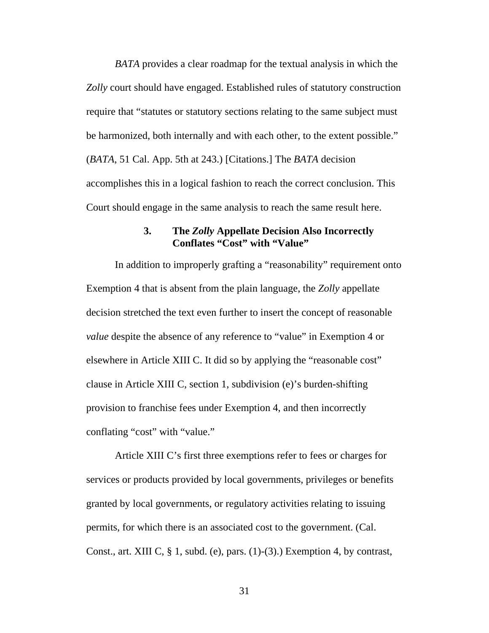*BATA* provides a clear roadmap for the textual analysis in which the *Zolly* court should have engaged. Established rules of statutory construction require that "statutes or statutory sections relating to the same subject must be harmonized, both internally and with each other, to the extent possible." (*BATA*, 51 Cal. App. 5th at 243.) [Citations.] The *BATA* decision accomplishes this in a logical fashion to reach the correct conclusion. This Court should engage in the same analysis to reach the same result here.

#### **3. The** *Zolly* **Appellate Decision Also Incorrectly Conflates "Cost" with "Value"**

In addition to improperly grafting a "reasonability" requirement onto Exemption 4 that is absent from the plain language, the *Zolly* appellate decision stretched the text even further to insert the concept of reasonable *value* despite the absence of any reference to "value" in Exemption 4 or elsewhere in Article XIII C. It did so by applying the "reasonable cost" clause in Article XIII C, section 1, subdivision (e)'s burden-shifting provision to franchise fees under Exemption 4, and then incorrectly conflating "cost" with "value."

Article XIII C's first three exemptions refer to fees or charges for services or products provided by local governments, privileges or benefits granted by local governments, or regulatory activities relating to issuing permits, for which there is an associated cost to the government. (Cal. Const., art. XIII C,  $\S$  1, subd. (e), pars. (1)-(3).) Exemption 4, by contrast,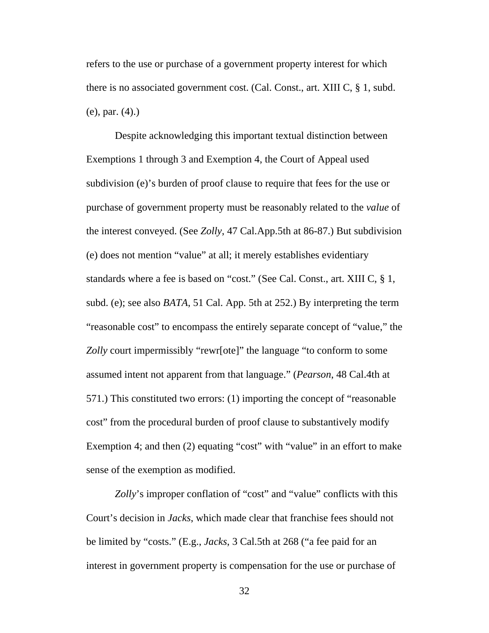refers to the use or purchase of a government property interest for which there is no associated government cost. (Cal. Const., art. XIII C, § 1, subd. (e), par. (4).)

Despite acknowledging this important textual distinction between Exemptions 1 through 3 and Exemption 4, the Court of Appeal used subdivision (e)'s burden of proof clause to require that fees for the use or purchase of government property must be reasonably related to the *value* of the interest conveyed. (See *Zolly*, 47 Cal.App.5th at 86-87.) But subdivision (e) does not mention "value" at all; it merely establishes evidentiary standards where a fee is based on "cost." (See Cal. Const., art. XIII C, § 1, subd. (e); see also *BATA*, 51 Cal. App. 5th at 252.) By interpreting the term "reasonable cost" to encompass the entirely separate concept of "value," the *Zolly* court impermissibly "rewr[ote]" the language "to conform to some assumed intent not apparent from that language." (*Pearson*, 48 Cal.4th at 571.) This constituted two errors: (1) importing the concept of "reasonable cost" from the procedural burden of proof clause to substantively modify Exemption 4; and then (2) equating "cost" with "value" in an effort to make sense of the exemption as modified.

*Zolly*'s improper conflation of "cost" and "value" conflicts with this Court's decision in *Jacks*, which made clear that franchise fees should not be limited by "costs." (E.g., *Jacks*, 3 Cal.5th at 268 ("a fee paid for an interest in government property is compensation for the use or purchase of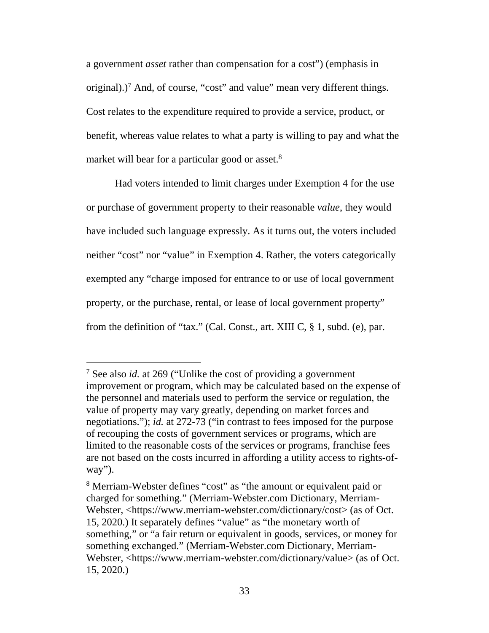a government *asset* rather than compensation for a cost") (emphasis in original).)<sup>7</sup> And, of course, "cost" and value" mean very different things. Cost relates to the expenditure required to provide a service, product, or benefit, whereas value relates to what a party is willing to pay and what the market will bear for a particular good or asset.<sup>8</sup>

Had voters intended to limit charges under Exemption 4 for the use or purchase of government property to their reasonable *value*, they would have included such language expressly. As it turns out, the voters included neither "cost" nor "value" in Exemption 4. Rather, the voters categorically exempted any "charge imposed for entrance to or use of local government property, or the purchase, rental, or lease of local government property" from the definition of "tax." (Cal. Const., art. XIII C, § 1, subd. (e), par.

<sup>7</sup> See also *id.* at 269 ("Unlike the cost of providing a government improvement or program, which may be calculated based on the expense of the personnel and materials used to perform the service or regulation, the value of property may vary greatly, depending on market forces and negotiations."); *id.* at 272-73 ("in contrast to fees imposed for the purpose of recouping the costs of government services or programs, which are limited to the reasonable costs of the services or programs, franchise fees are not based on the costs incurred in affording a utility access to rights-ofway").

<sup>&</sup>lt;sup>8</sup> Merriam-Webster defines "cost" as "the amount or equivalent paid or charged for something." (Merriam-Webster.com Dictionary, Merriam-Webster, <https://www.merriam-webster.com/dictionary/cost> (as of Oct. 15, 2020.) It separately defines "value" as "the monetary worth of something," or "a fair return or equivalent in goods, services, or money for something exchanged." (Merriam-Webster.com Dictionary, Merriam-Webster, <https://www.merriam-webster.com/dictionary/value> (as of Oct. 15, 2020.)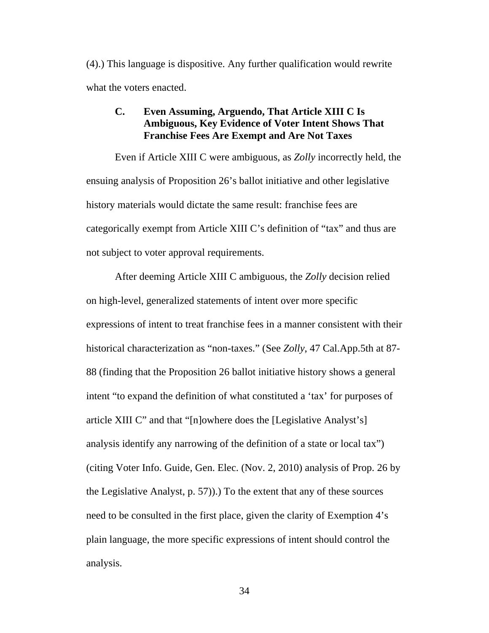(4).) This language is dispositive. Any further qualification would rewrite what the voters enacted.

## **C. Even Assuming, Arguendo, That Article XIII C Is Ambiguous, Key Evidence of Voter Intent Shows That Franchise Fees Are Exempt and Are Not Taxes**

Even if Article XIII C were ambiguous, as *Zolly* incorrectly held, the ensuing analysis of Proposition 26's ballot initiative and other legislative history materials would dictate the same result: franchise fees are categorically exempt from Article XIII C's definition of "tax" and thus are not subject to voter approval requirements.

After deeming Article XIII C ambiguous, the *Zolly* decision relied on high-level, generalized statements of intent over more specific expressions of intent to treat franchise fees in a manner consistent with their historical characterization as "non-taxes." (See *Zolly*, 47 Cal.App.5th at 87- 88 (finding that the Proposition 26 ballot initiative history shows a general intent "to expand the definition of what constituted a 'tax' for purposes of article XIII C" and that "[n]owhere does the [Legislative Analyst's] analysis identify any narrowing of the definition of a state or local tax") (citing Voter Info. Guide, Gen. Elec. (Nov. 2, 2010) analysis of Prop. 26 by the Legislative Analyst, p. 57)).) To the extent that any of these sources need to be consulted in the first place, given the clarity of Exemption 4's plain language, the more specific expressions of intent should control the analysis.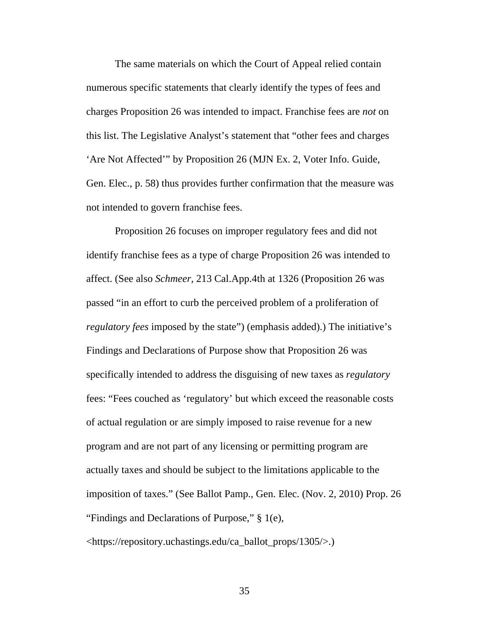The same materials on which the Court of Appeal relied contain numerous specific statements that clearly identify the types of fees and charges Proposition 26 was intended to impact. Franchise fees are *not* on this list. The Legislative Analyst's statement that "other fees and charges 'Are Not Affected'" by Proposition 26 (MJN Ex. 2, Voter Info. Guide, Gen. Elec., p. 58) thus provides further confirmation that the measure was not intended to govern franchise fees.

Proposition 26 focuses on improper regulatory fees and did not identify franchise fees as a type of charge Proposition 26 was intended to affect. (See also *Schmeer,* 213 Cal.App.4th at 1326 (Proposition 26 was passed "in an effort to curb the perceived problem of a proliferation of *regulatory fees* imposed by the state") (emphasis added).) The initiative's Findings and Declarations of Purpose show that Proposition 26 was specifically intended to address the disguising of new taxes as *regulatory* fees: "Fees couched as 'regulatory' but which exceed the reasonable costs of actual regulation or are simply imposed to raise revenue for a new program and are not part of any licensing or permitting program are actually taxes and should be subject to the limitations applicable to the imposition of taxes." (See Ballot Pamp., Gen. Elec. (Nov. 2, 2010) Prop. 26 "Findings and Declarations of Purpose," § 1(e), <https://repository.uchastings.edu/ca\_ballot\_props/1305/>.)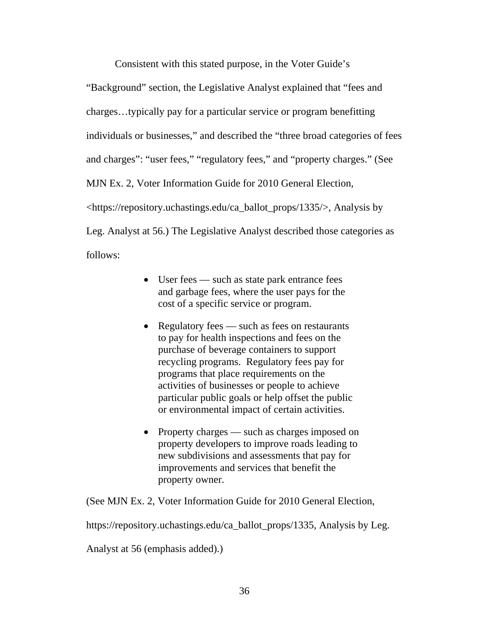Consistent with this stated purpose, in the Voter Guide's

"Background" section, the Legislative Analyst explained that "fees and charges…typically pay for a particular service or program benefitting individuals or businesses," and described the "three broad categories of fees and charges": "user fees," "regulatory fees," and "property charges." (See MJN Ex. 2, Voter Information Guide for 2010 General Election, <https://repository.uchastings.edu/ca\_ballot\_props/1335/>, Analysis by Leg. Analyst at 56.) The Legislative Analyst described those categories as follows:

- User fees such as state park entrance fees and garbage fees, where the user pays for the cost of a specific service or program.
- Regulatory fees such as fees on restaurants to pay for health inspections and fees on the purchase of beverage containers to support recycling programs. Regulatory fees pay for programs that place requirements on the activities of businesses or people to achieve particular public goals or help offset the public or environmental impact of certain activities.
- Property charges such as charges imposed on property developers to improve roads leading to new subdivisions and assessments that pay for improvements and services that benefit the property owner.

(See MJN Ex. 2, Voter Information Guide for 2010 General Election,

https://repository.uchastings.edu/ca\_ballot\_props/1335, Analysis by Leg.

Analyst at 56 (emphasis added).)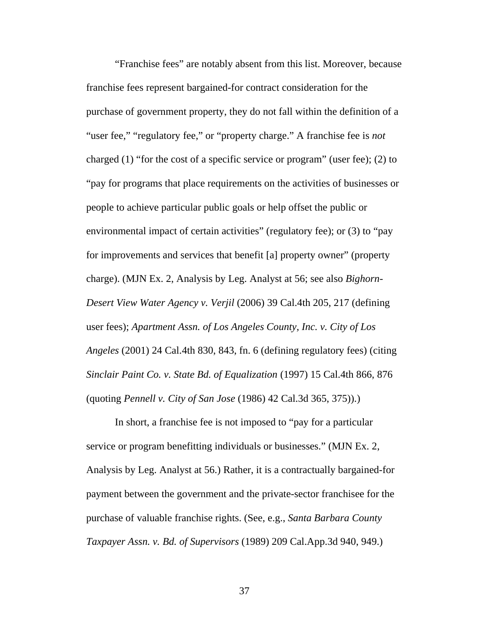"Franchise fees" are notably absent from this list. Moreover, because franchise fees represent bargained-for contract consideration for the purchase of government property, they do not fall within the definition of a "user fee," "regulatory fee," or "property charge." A franchise fee is *not* charged (1) "for the cost of a specific service or program" (user fee); (2) to "pay for programs that place requirements on the activities of businesses or people to achieve particular public goals or help offset the public or environmental impact of certain activities" (regulatory fee); or (3) to "pay for improvements and services that benefit [a] property owner" (property charge). (MJN Ex. 2, Analysis by Leg. Analyst at 56; see also *Bighorn-Desert View Water Agency v. Verjil* (2006) 39 Cal.4th 205, 217 (defining user fees); *Apartment Assn. of Los Angeles County, Inc. v. City of Los Angeles* (2001) 24 Cal.4th 830, 843, fn. 6 (defining regulatory fees) (citing *Sinclair Paint Co. v. State Bd. of Equalization* (1997) 15 Cal.4th 866, 876 (quoting *Pennell v. City of San Jose* (1986) 42 Cal.3d 365, 375)).)

In short, a franchise fee is not imposed to "pay for a particular service or program benefitting individuals or businesses." (MJN Ex. 2, Analysis by Leg. Analyst at 56.) Rather, it is a contractually bargained-for payment between the government and the private-sector franchisee for the purchase of valuable franchise rights. (See, e.g., *Santa Barbara County Taxpayer Assn. v. Bd. of Supervisors* (1989) 209 Cal.App.3d 940, 949.)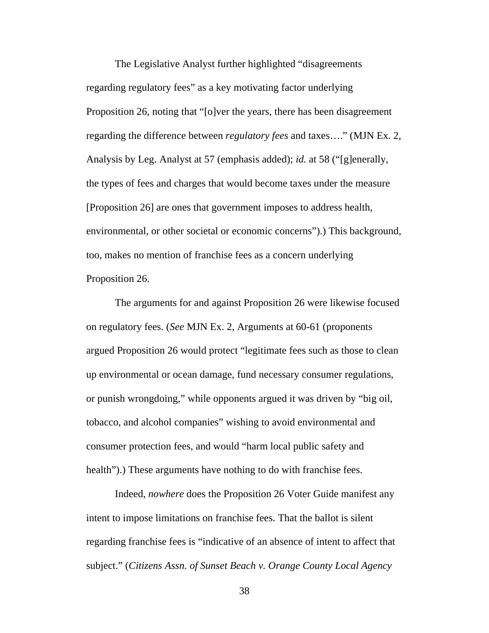The Legislative Analyst further highlighted "disagreements regarding regulatory fees" as a key motivating factor underlying Proposition 26, noting that "[o]ver the years, there has been disagreement regarding the difference between *regulatory fees* and taxes…." (MJN Ex. 2, Analysis by Leg. Analyst at 57 (emphasis added); *id.* at 58 ("[g]enerally, the types of fees and charges that would become taxes under the measure [Proposition 26] are ones that government imposes to address health, environmental, or other societal or economic concerns").) This background, too, makes no mention of franchise fees as a concern underlying Proposition 26.

The arguments for and against Proposition 26 were likewise focused on regulatory fees. (*See* MJN Ex. 2, Arguments at 60-61 (proponents argued Proposition 26 would protect "legitimate fees such as those to clean up environmental or ocean damage, fund necessary consumer regulations, or punish wrongdoing," while opponents argued it was driven by "big oil, tobacco, and alcohol companies" wishing to avoid environmental and consumer protection fees, and would "harm local public safety and health").) These arguments have nothing to do with franchise fees.

Indeed, *nowhere* does the Proposition 26 Voter Guide manifest any intent to impose limitations on franchise fees. That the ballot is silent regarding franchise fees is "indicative of an absence of intent to affect that subject." (*Citizens Assn. of Sunset Beach v. Orange County Local Agency*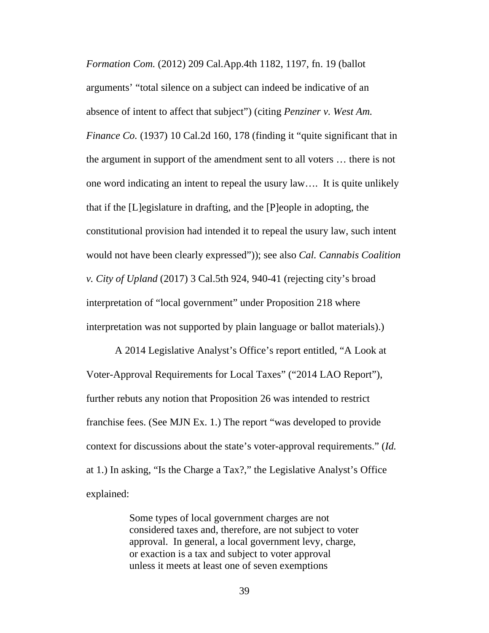*Formation Com.* (2012) 209 Cal.App.4th 1182, 1197, fn. 19 (ballot arguments' "total silence on a subject can indeed be indicative of an absence of intent to affect that subject") (citing *Penziner v. West Am. Finance Co.* (1937) 10 Cal.2d 160, 178 (finding it "quite significant that in the argument in support of the amendment sent to all voters … there is not one word indicating an intent to repeal the usury law…. It is quite unlikely that if the [L]egislature in drafting, and the [P]eople in adopting, the constitutional provision had intended it to repeal the usury law, such intent would not have been clearly expressed")); see also *Cal. Cannabis Coalition v. City of Upland* (2017) 3 Cal.5th 924, 940-41 (rejecting city's broad interpretation of "local government" under Proposition 218 where interpretation was not supported by plain language or ballot materials).)

A 2014 Legislative Analyst's Office's report entitled, "A Look at Voter-Approval Requirements for Local Taxes" ("2014 LAO Report"), further rebuts any notion that Proposition 26 was intended to restrict franchise fees. (See MJN Ex. 1.) The report "was developed to provide context for discussions about the state's voter-approval requirements." (*Id.* at 1.) In asking, "Is the Charge a Tax?," the Legislative Analyst's Office explained:

> Some types of local government charges are not considered taxes and, therefore, are not subject to voter approval. In general, a local government levy, charge, or exaction is a tax and subject to voter approval unless it meets at least one of seven exemptions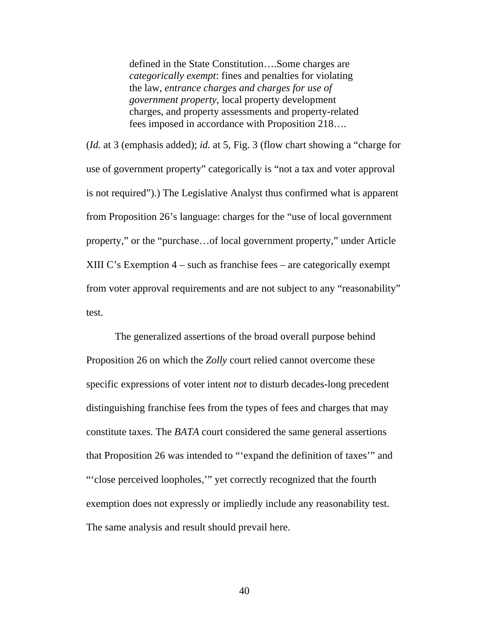defined in the State Constitution….Some charges are *categorically exempt*: fines and penalties for violating the law, *entrance charges and charges for use of government property*, local property development charges, and property assessments and property-related fees imposed in accordance with Proposition 218….

(*Id.* at 3 (emphasis added); *id.* at 5, Fig. 3 (flow chart showing a "charge for use of government property" categorically is "not a tax and voter approval is not required").) The Legislative Analyst thus confirmed what is apparent from Proposition 26's language: charges for the "use of local government property," or the "purchase…of local government property," under Article XIII C's Exemption 4 – such as franchise fees – are categorically exempt from voter approval requirements and are not subject to any "reasonability" test.

The generalized assertions of the broad overall purpose behind Proposition 26 on which the *Zolly* court relied cannot overcome these specific expressions of voter intent *not* to disturb decades-long precedent distinguishing franchise fees from the types of fees and charges that may constitute taxes. The *BATA* court considered the same general assertions that Proposition 26 was intended to "'expand the definition of taxes'" and "'close perceived loopholes,'" yet correctly recognized that the fourth exemption does not expressly or impliedly include any reasonability test. The same analysis and result should prevail here.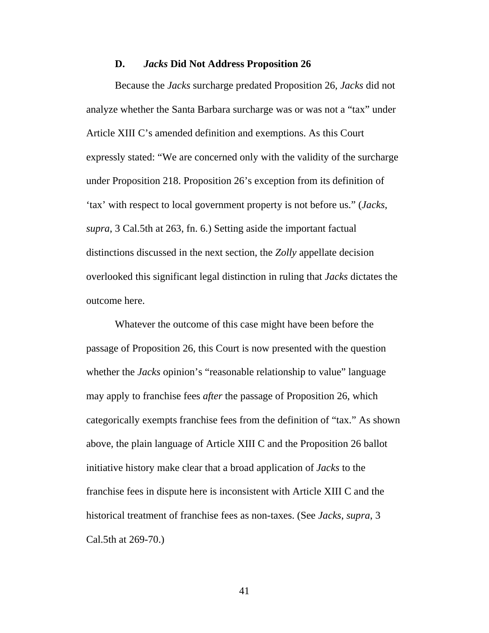#### **D.** *Jacks* **Did Not Address Proposition 26**

Because the *Jacks* surcharge predated Proposition 26, *Jacks* did not analyze whether the Santa Barbara surcharge was or was not a "tax" under Article XIII C's amended definition and exemptions. As this Court expressly stated: "We are concerned only with the validity of the surcharge under Proposition 218. Proposition 26's exception from its definition of 'tax' with respect to local government property is not before us." (*Jacks*, *supra*, 3 Cal.5th at 263, fn. 6.) Setting aside the important factual distinctions discussed in the next section, the *Zolly* appellate decision overlooked this significant legal distinction in ruling that *Jacks* dictates the outcome here.

Whatever the outcome of this case might have been before the passage of Proposition 26, this Court is now presented with the question whether the *Jacks* opinion's "reasonable relationship to value" language may apply to franchise fees *after* the passage of Proposition 26, which categorically exempts franchise fees from the definition of "tax." As shown above, the plain language of Article XIII C and the Proposition 26 ballot initiative history make clear that a broad application of *Jacks* to the franchise fees in dispute here is inconsistent with Article XIII C and the historical treatment of franchise fees as non-taxes. (See *Jacks*, *supra*, 3 Cal.5th at 269-70.)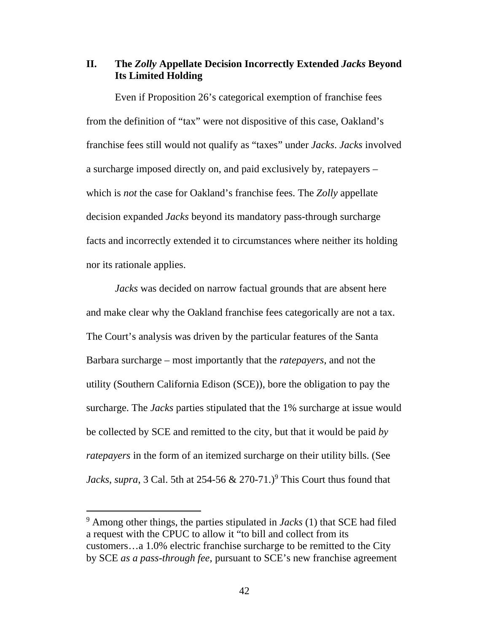### **II. The** *Zolly* **Appellate Decision Incorrectly Extended** *Jacks* **Beyond Its Limited Holding**

Even if Proposition 26's categorical exemption of franchise fees from the definition of "tax" were not dispositive of this case, Oakland's franchise fees still would not qualify as "taxes" under *Jacks*. *Jacks* involved a surcharge imposed directly on, and paid exclusively by, ratepayers – which is *not* the case for Oakland's franchise fees. The *Zolly* appellate decision expanded *Jacks* beyond its mandatory pass-through surcharge facts and incorrectly extended it to circumstances where neither its holding nor its rationale applies.

*Jacks* was decided on narrow factual grounds that are absent here and make clear why the Oakland franchise fees categorically are not a tax. The Court's analysis was driven by the particular features of the Santa Barbara surcharge – most importantly that the *ratepayers*, and not the utility (Southern California Edison (SCE)), bore the obligation to pay the surcharge. The *Jacks* parties stipulated that the 1% surcharge at issue would be collected by SCE and remitted to the city, but that it would be paid *by ratepayers* in the form of an itemized surcharge on their utility bills. (See *Jacks*, *supra*, 3 Cal. 5th at 254-56  $\&$  270-71.)<sup>9</sup> This Court thus found that

<sup>9</sup> Among other things, the parties stipulated in *Jacks* (1) that SCE had filed a request with the CPUC to allow it "to bill and collect from its customers…a 1.0% electric franchise surcharge to be remitted to the City by SCE *as a pass-through fee*, pursuant to SCE's new franchise agreement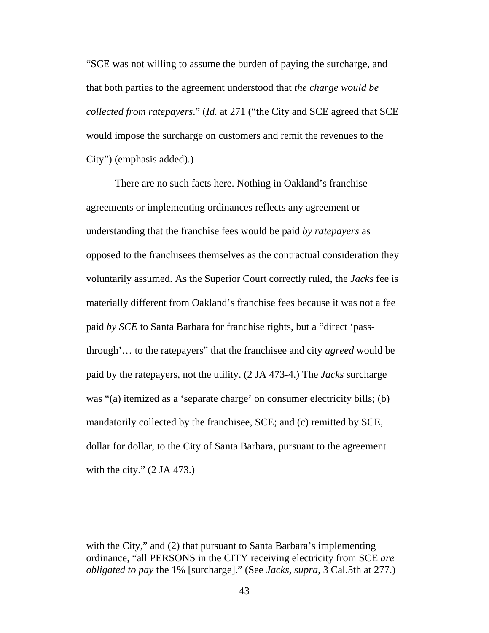"SCE was not willing to assume the burden of paying the surcharge, and that both parties to the agreement understood that *the charge would be collected from ratepayers*." (*Id.* at 271 ("the City and SCE agreed that SCE would impose the surcharge on customers and remit the revenues to the City") (emphasis added).)

There are no such facts here. Nothing in Oakland's franchise agreements or implementing ordinances reflects any agreement or understanding that the franchise fees would be paid *by ratepayers* as opposed to the franchisees themselves as the contractual consideration they voluntarily assumed. As the Superior Court correctly ruled, the *Jacks* fee is materially different from Oakland's franchise fees because it was not a fee paid *by SCE* to Santa Barbara for franchise rights, but a "direct 'passthrough'… to the ratepayers" that the franchisee and city *agreed* would be paid by the ratepayers, not the utility. (2 JA 473-4.) The *Jacks* surcharge was "(a) itemized as a 'separate charge' on consumer electricity bills; (b) mandatorily collected by the franchisee, SCE; and (c) remitted by SCE, dollar for dollar, to the City of Santa Barbara, pursuant to the agreement with the city."  $(2 \text{ JA } 473.)$ 

with the City," and (2) that pursuant to Santa Barbara's implementing ordinance, "all PERSONS in the CITY receiving electricity from SCE *are obligated to pay* the 1% [surcharge]." (See *Jacks, supra*, 3 Cal.5th at 277.)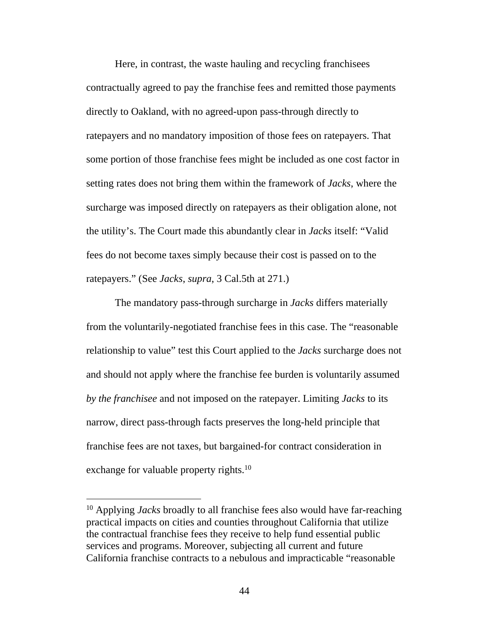Here, in contrast, the waste hauling and recycling franchisees contractually agreed to pay the franchise fees and remitted those payments directly to Oakland, with no agreed-upon pass-through directly to ratepayers and no mandatory imposition of those fees on ratepayers. That some portion of those franchise fees might be included as one cost factor in setting rates does not bring them within the framework of *Jacks*, where the surcharge was imposed directly on ratepayers as their obligation alone, not the utility's. The Court made this abundantly clear in *Jacks* itself: "Valid fees do not become taxes simply because their cost is passed on to the ratepayers." (See *Jacks*, *supra*, 3 Cal.5th at 271.)

The mandatory pass-through surcharge in *Jacks* differs materially from the voluntarily-negotiated franchise fees in this case. The "reasonable relationship to value" test this Court applied to the *Jacks* surcharge does not and should not apply where the franchise fee burden is voluntarily assumed *by the franchisee* and not imposed on the ratepayer. Limiting *Jacks* to its narrow, direct pass-through facts preserves the long-held principle that franchise fees are not taxes, but bargained-for contract consideration in exchange for valuable property rights.<sup>10</sup>

<sup>10</sup> Applying *Jacks* broadly to all franchise fees also would have far-reaching practical impacts on cities and counties throughout California that utilize the contractual franchise fees they receive to help fund essential public services and programs. Moreover, subjecting all current and future California franchise contracts to a nebulous and impracticable "reasonable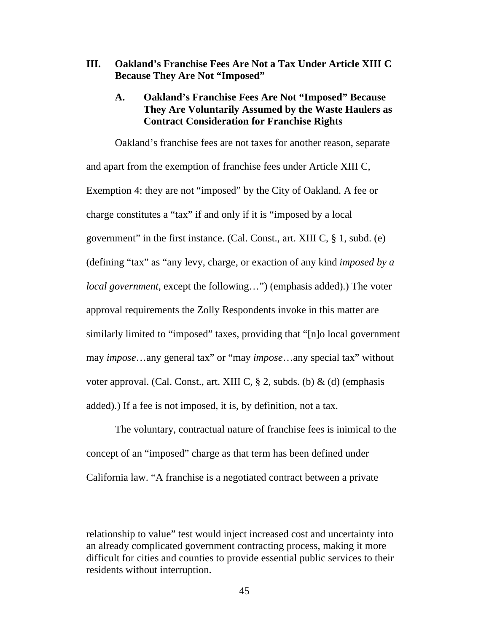**III. Oakland's Franchise Fees Are Not a Tax Under Article XIII C Because They Are Not "Imposed"** 

## **A. Oakland's Franchise Fees Are Not "Imposed" Because They Are Voluntarily Assumed by the Waste Haulers as Contract Consideration for Franchise Rights**

Oakland's franchise fees are not taxes for another reason, separate and apart from the exemption of franchise fees under Article XIII C, Exemption 4: they are not "imposed" by the City of Oakland. A fee or charge constitutes a "tax" if and only if it is "imposed by a local government" in the first instance. (Cal. Const., art. XIII C,  $\S$  1, subd. (e) (defining "tax" as "any levy, charge, or exaction of any kind *imposed by a local government*, except the following…") (emphasis added).) The voter approval requirements the Zolly Respondents invoke in this matter are similarly limited to "imposed" taxes, providing that "[n]o local government may *impose*…any general tax" or "may *impose*…any special tax" without voter approval. (Cal. Const., art. XIII C,  $\S$  2, subds. (b) & (d) (emphasis added).) If a fee is not imposed, it is, by definition, not a tax.

The voluntary, contractual nature of franchise fees is inimical to the concept of an "imposed" charge as that term has been defined under California law. "A franchise is a negotiated contract between a private

relationship to value" test would inject increased cost and uncertainty into an already complicated government contracting process, making it more difficult for cities and counties to provide essential public services to their residents without interruption.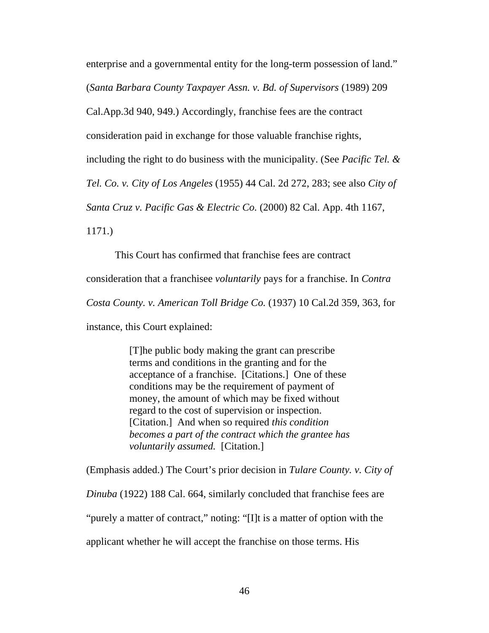enterprise and a governmental entity for the long-term possession of land."

(*Santa Barbara County Taxpayer Assn. v. Bd. of Supervisors* (1989) 209

Cal.App.3d 940, 949.) Accordingly, franchise fees are the contract

consideration paid in exchange for those valuable franchise rights,

including the right to do business with the municipality. (See *Pacific Tel. &* 

*Tel. Co. v. City of Los Angeles* (1955) 44 Cal. 2d 272, 283; see also *City of* 

*Santa Cruz v. Pacific Gas & Electric Co.* (2000) 82 Cal. App. 4th 1167,

1171.)

This Court has confirmed that franchise fees are contract

consideration that a franchisee *voluntarily* pays for a franchise. In *Contra* 

*Costa County. v. American Toll Bridge Co.* (1937) 10 Cal.2d 359, 363, for

instance, this Court explained:

[T]he public body making the grant can prescribe terms and conditions in the granting and for the acceptance of a franchise. [Citations.] One of these conditions may be the requirement of payment of money, the amount of which may be fixed without regard to the cost of supervision or inspection. [Citation.] And when so required *this condition becomes a part of the contract which the grantee has voluntarily assumed.* [Citation.]

(Emphasis added.) The Court's prior decision in *Tulare County. v. City of* 

*Dinuba* (1922) 188 Cal. 664, similarly concluded that franchise fees are

"purely a matter of contract," noting: "[I]t is a matter of option with the

applicant whether he will accept the franchise on those terms. His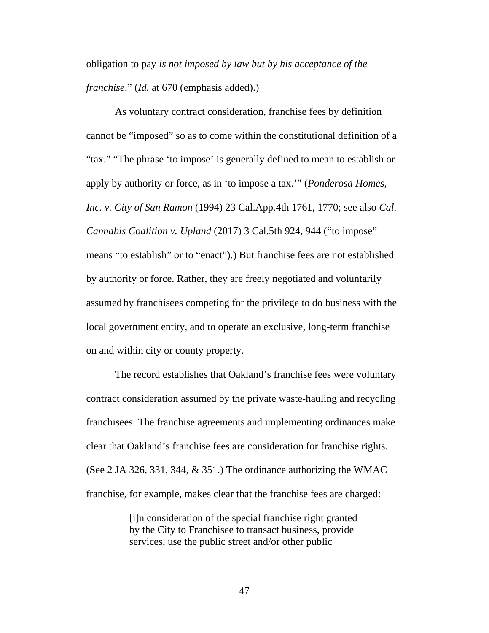obligation to pay *is not imposed by law but by his acceptance of the franchise*." (*Id.* at 670 (emphasis added).)

As voluntary contract consideration, franchise fees by definition cannot be "imposed" so as to come within the constitutional definition of a "tax." "The phrase 'to impose' is generally defined to mean to establish or apply by authority or force, as in 'to impose a tax.'" (*Ponderosa Homes, Inc. v. City of San Ramon* (1994) 23 Cal.App.4th 1761, 1770; see also *Cal. Cannabis Coalition v. Upland* (2017) 3 Cal.5th 924, 944 ("to impose" means "to establish" or to "enact").) But franchise fees are not established by authority or force. Rather, they are freely negotiated and voluntarily assumed by franchisees competing for the privilege to do business with the local government entity, and to operate an exclusive, long-term franchise on and within city or county property.

The record establishes that Oakland's franchise fees were voluntary contract consideration assumed by the private waste-hauling and recycling franchisees. The franchise agreements and implementing ordinances make clear that Oakland's franchise fees are consideration for franchise rights. (See 2 JA 326, 331, 344, & 351.) The ordinance authorizing the WMAC franchise, for example, makes clear that the franchise fees are charged:

> [i]n consideration of the special franchise right granted by the City to Franchisee to transact business, provide services, use the public street and/or other public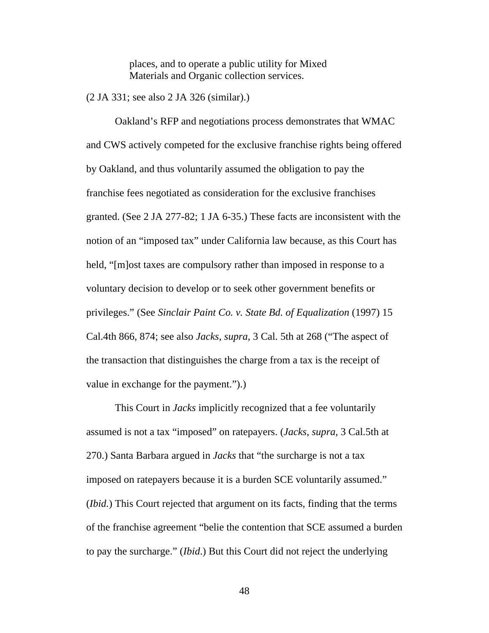places, and to operate a public utility for Mixed Materials and Organic collection services.

(2 JA 331; see also 2 JA 326 (similar).)

Oakland's RFP and negotiations process demonstrates that WMAC and CWS actively competed for the exclusive franchise rights being offered by Oakland, and thus voluntarily assumed the obligation to pay the franchise fees negotiated as consideration for the exclusive franchises granted. (See 2 JA 277-82; 1 JA 6-35.) These facts are inconsistent with the notion of an "imposed tax" under California law because, as this Court has held, "[m]ost taxes are compulsory rather than imposed in response to a voluntary decision to develop or to seek other government benefits or privileges." (See *Sinclair Paint Co. v. State Bd. of Equalization* (1997) 15 Cal.4th 866, 874; see also *Jacks*, *supra*, 3 Cal. 5th at 268 ("The aspect of the transaction that distinguishes the charge from a tax is the receipt of value in exchange for the payment.").)

This Court in *Jacks* implicitly recognized that a fee voluntarily assumed is not a tax "imposed" on ratepayers. (*Jacks*, *supra*, 3 Cal.5th at 270.) Santa Barbara argued in *Jacks* that "the surcharge is not a tax imposed on ratepayers because it is a burden SCE voluntarily assumed." (*Ibid.*) This Court rejected that argument on its facts, finding that the terms of the franchise agreement "belie the contention that SCE assumed a burden to pay the surcharge." (*Ibid*.) But this Court did not reject the underlying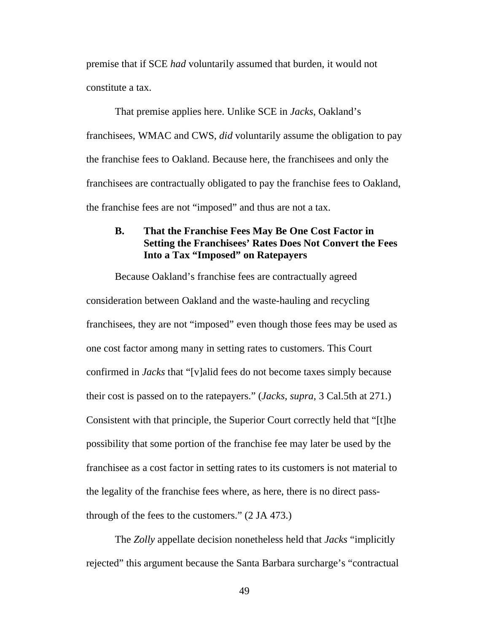premise that if SCE *had* voluntarily assumed that burden, it would not constitute a tax.

That premise applies here. Unlike SCE in *Jacks*, Oakland's franchisees, WMAC and CWS, *did* voluntarily assume the obligation to pay the franchise fees to Oakland. Because here, the franchisees and only the franchisees are contractually obligated to pay the franchise fees to Oakland, the franchise fees are not "imposed" and thus are not a tax.

## **B. That the Franchise Fees May Be One Cost Factor in Setting the Franchisees' Rates Does Not Convert the Fees Into a Tax "Imposed" on Ratepayers**

Because Oakland's franchise fees are contractually agreed consideration between Oakland and the waste-hauling and recycling franchisees, they are not "imposed" even though those fees may be used as one cost factor among many in setting rates to customers. This Court confirmed in *Jacks* that "[v]alid fees do not become taxes simply because their cost is passed on to the ratepayers." (*Jacks*, *supra*, 3 Cal.5th at 271.) Consistent with that principle, the Superior Court correctly held that "[t]he possibility that some portion of the franchise fee may later be used by the franchisee as a cost factor in setting rates to its customers is not material to the legality of the franchise fees where, as here, there is no direct passthrough of the fees to the customers." (2 JA 473.)

The *Zolly* appellate decision nonetheless held that *Jacks* "implicitly rejected" this argument because the Santa Barbara surcharge's "contractual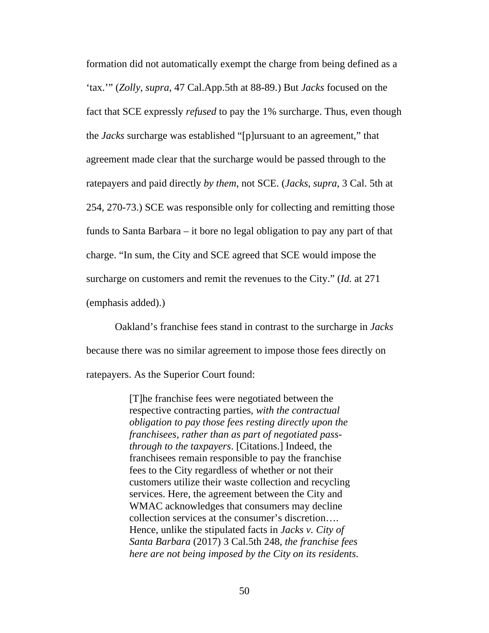formation did not automatically exempt the charge from being defined as a 'tax.'" (*Zolly*, *supra*, 47 Cal.App.5th at 88-89.) But *Jacks* focused on the fact that SCE expressly *refused* to pay the 1% surcharge. Thus, even though the *Jacks* surcharge was established "[p]ursuant to an agreement," that agreement made clear that the surcharge would be passed through to the ratepayers and paid directly *by them*, not SCE. (*Jacks*, *supra*, 3 Cal. 5th at 254, 270-73.) SCE was responsible only for collecting and remitting those funds to Santa Barbara – it bore no legal obligation to pay any part of that charge. "In sum, the City and SCE agreed that SCE would impose the surcharge on customers and remit the revenues to the City." (*Id.* at 271 (emphasis added).)

Oakland's franchise fees stand in contrast to the surcharge in *Jacks* because there was no similar agreement to impose those fees directly on ratepayers. As the Superior Court found:

> [T]he franchise fees were negotiated between the respective contracting parties, *with the contractual obligation to pay those fees resting directly upon the franchisees, rather than as part of negotiated passthrough to the taxpayers*. [Citations.] Indeed, the franchisees remain responsible to pay the franchise fees to the City regardless of whether or not their customers utilize their waste collection and recycling services. Here, the agreement between the City and WMAC acknowledges that consumers may decline collection services at the consumer's discretion…. Hence, unlike the stipulated facts in *Jacks v. City of Santa Barbara* (2017) 3 Cal.5th 248, *the franchise fees here are not being imposed by the City on its residents*.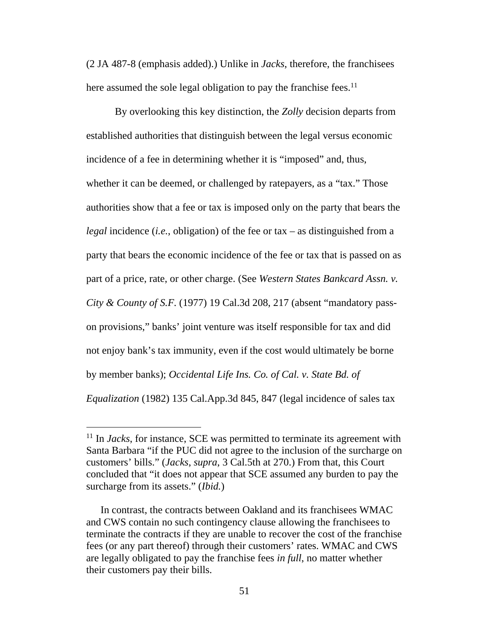(2 JA 487-8 (emphasis added).) Unlike in *Jacks*, therefore, the franchisees here assumed the sole legal obligation to pay the franchise fees.<sup>11</sup>

By overlooking this key distinction, the *Zolly* decision departs from established authorities that distinguish between the legal versus economic incidence of a fee in determining whether it is "imposed" and, thus, whether it can be deemed, or challenged by ratepayers, as a "tax." Those authorities show that a fee or tax is imposed only on the party that bears the *legal* incidence (*i.e.*, obligation) of the fee or tax – as distinguished from a party that bears the economic incidence of the fee or tax that is passed on as part of a price, rate, or other charge. (See *Western States Bankcard Assn. v. City & County of S.F.* (1977) 19 Cal.3d 208, 217 (absent "mandatory passon provisions," banks' joint venture was itself responsible for tax and did not enjoy bank's tax immunity, even if the cost would ultimately be borne by member banks); *Occidental Life Ins. Co. of Cal. v. State Bd. of Equalization* (1982) 135 Cal.App.3d 845, 847 (legal incidence of sales tax

<sup>&</sup>lt;sup>11</sup> In *Jacks*, for instance, SCE was permitted to terminate its agreement with Santa Barbara "if the PUC did not agree to the inclusion of the surcharge on customers' bills." (*Jacks*, *supra*, 3 Cal.5th at 270.) From that, this Court concluded that "it does not appear that SCE assumed any burden to pay the surcharge from its assets." (*Ibid.*)

In contrast, the contracts between Oakland and its franchisees WMAC and CWS contain no such contingency clause allowing the franchisees to terminate the contracts if they are unable to recover the cost of the franchise fees (or any part thereof) through their customers' rates. WMAC and CWS are legally obligated to pay the franchise fees *in full*, no matter whether their customers pay their bills.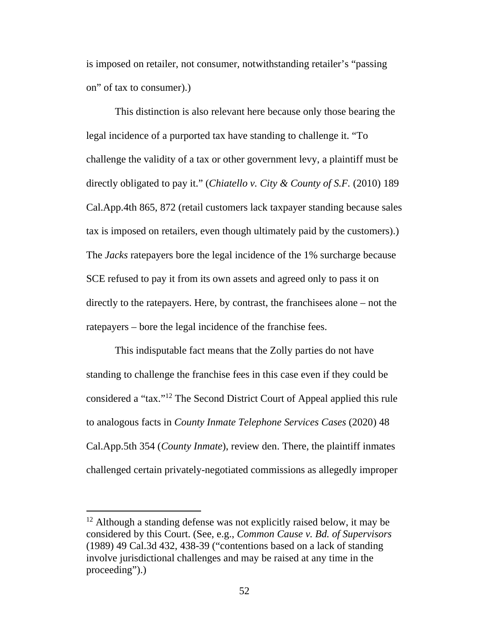is imposed on retailer, not consumer, notwithstanding retailer's "passing on" of tax to consumer).)

This distinction is also relevant here because only those bearing the legal incidence of a purported tax have standing to challenge it. "To challenge the validity of a tax or other government levy, a plaintiff must be directly obligated to pay it." (*Chiatello v. City & County of S.F.* (2010) 189 Cal.App.4th 865, 872 (retail customers lack taxpayer standing because sales tax is imposed on retailers, even though ultimately paid by the customers).) The *Jacks* ratepayers bore the legal incidence of the 1% surcharge because SCE refused to pay it from its own assets and agreed only to pass it on directly to the ratepayers. Here, by contrast, the franchisees alone – not the ratepayers – bore the legal incidence of the franchise fees.

This indisputable fact means that the Zolly parties do not have standing to challenge the franchise fees in this case even if they could be considered a "tax."<sup>12</sup> The Second District Court of Appeal applied this rule to analogous facts in *County Inmate Telephone Services Cases* (2020) 48 Cal.App.5th 354 (*County Inmate*), review den. There, the plaintiff inmates challenged certain privately-negotiated commissions as allegedly improper

<sup>&</sup>lt;sup>12</sup> Although a standing defense was not explicitly raised below, it may be considered by this Court. (See, e.g., *Common Cause v. Bd. of Supervisors* (1989) 49 Cal.3d 432, 438-39 ("contentions based on a lack of standing involve jurisdictional challenges and may be raised at any time in the proceeding").)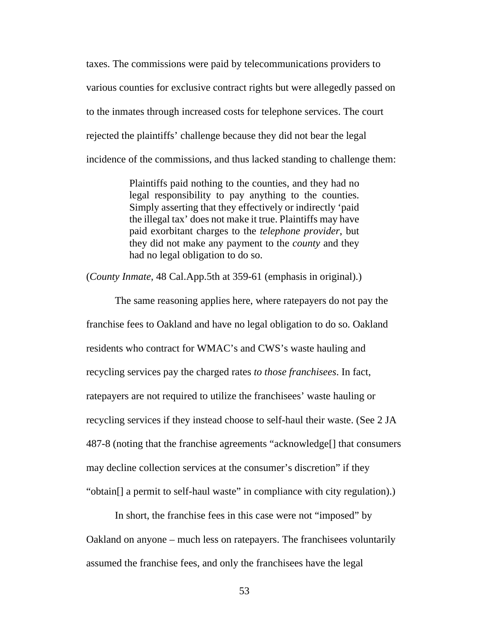taxes. The commissions were paid by telecommunications providers to various counties for exclusive contract rights but were allegedly passed on to the inmates through increased costs for telephone services. The court rejected the plaintiffs' challenge because they did not bear the legal incidence of the commissions, and thus lacked standing to challenge them:

> Plaintiffs paid nothing to the counties, and they had no legal responsibility to pay anything to the counties. Simply asserting that they effectively or indirectly 'paid the illegal tax' does not make it true. Plaintiffs may have paid exorbitant charges to the *telephone provider*, but they did not make any payment to the *county* and they had no legal obligation to do so.

(*County Inmate*, 48 Cal.App.5th at 359-61 (emphasis in original).)

The same reasoning applies here, where ratepayers do not pay the franchise fees to Oakland and have no legal obligation to do so. Oakland residents who contract for WMAC's and CWS's waste hauling and recycling services pay the charged rates *to those franchisees*. In fact, ratepayers are not required to utilize the franchisees' waste hauling or recycling services if they instead choose to self-haul their waste. (See 2 JA 487-8 (noting that the franchise agreements "acknowledge[] that consumers may decline collection services at the consumer's discretion" if they "obtain[] a permit to self-haul waste" in compliance with city regulation).)

In short, the franchise fees in this case were not "imposed" by Oakland on anyone – much less on ratepayers. The franchisees voluntarily assumed the franchise fees, and only the franchisees have the legal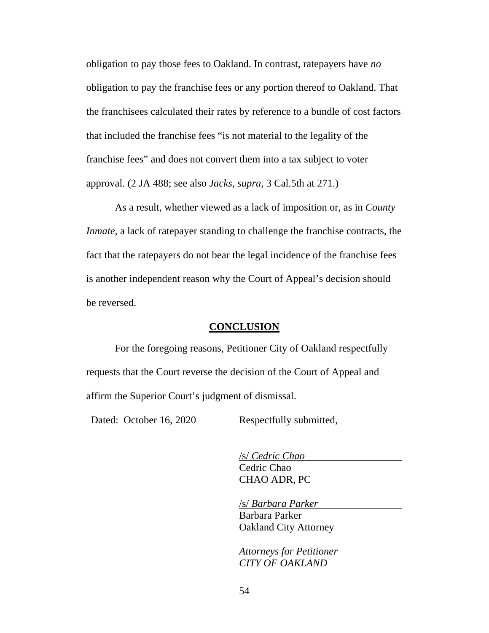obligation to pay those fees to Oakland. In contrast, ratepayers have *no*  obligation to pay the franchise fees or any portion thereof to Oakland. That the franchisees calculated their rates by reference to a bundle of cost factors that included the franchise fees "is not material to the legality of the franchise fees" and does not convert them into a tax subject to voter approval. (2 JA 488; see also *Jacks*, *supra*, 3 Cal.5th at 271.)

As a result, whether viewed as a lack of imposition or, as in *County Inmate*, a lack of ratepayer standing to challenge the franchise contracts, the fact that the ratepayers do not bear the legal incidence of the franchise fees is another independent reason why the Court of Appeal's decision should be reversed.

### **CONCLUSION**

For the foregoing reasons, Petitioner City of Oakland respectfully requests that the Court reverse the decision of the Court of Appeal and affirm the Superior Court's judgment of dismissal.

Dated: October 16, 2020 Respectfully submitted,

/s/ *Cedric Chao* Cedric Chao CHAO ADR, PC

/s/ *Barbara Parker*

Barbara Parker Oakland City Attorney

*Attorneys for Petitioner CITY OF OAKLAND*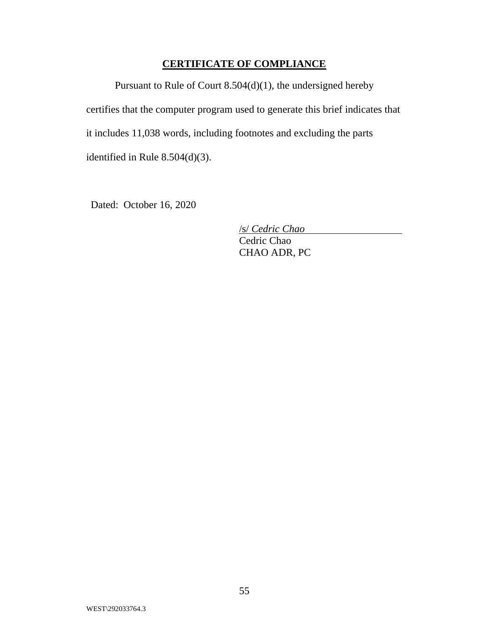## **CERTIFICATE OF COMPLIANCE**

Pursuant to Rule of Court 8.504(d)(1), the undersigned hereby certifies that the computer program used to generate this brief indicates that it includes 11,038 words, including footnotes and excluding the parts identified in Rule 8.504(d)(3).

Dated: October 16, 2020

/s/ *Cedric Chao*

Cedric Chao CHAO ADR, PC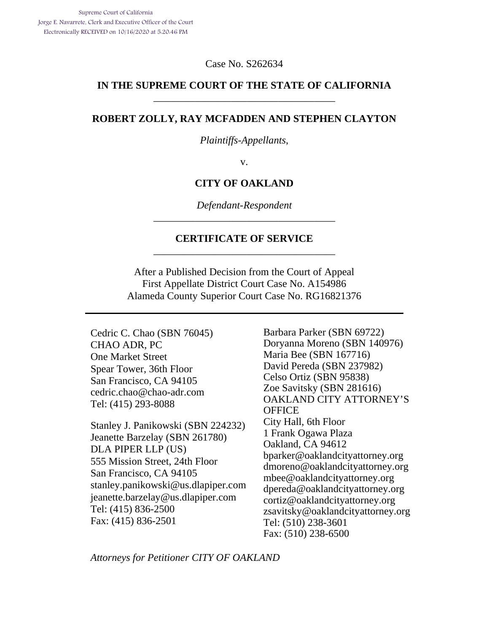Case No. S262634

### **IN THE SUPREME COURT OF THE STATE OF CALIFORNIA**  \_\_\_\_\_\_\_\_\_\_\_\_\_\_\_\_\_\_\_\_\_\_\_\_\_\_\_\_\_\_\_\_\_\_\_

#### **ROBERT ZOLLY, RAY MCFADDEN AND STEPHEN CLAYTON**

*Plaintiffs-Appellants*,

v.

#### **CITY OF OAKLAND**

*Defendant-Respondent*  \_\_\_\_\_\_\_\_\_\_\_\_\_\_\_\_\_\_\_\_\_\_\_\_\_\_\_\_\_\_\_\_\_\_\_

#### **CERTIFICATE OF SERVICE**  \_\_\_\_\_\_\_\_\_\_\_\_\_\_\_\_\_\_\_\_\_\_\_\_\_\_\_\_\_\_\_\_\_\_\_

After a Published Decision from the Court of Appeal First Appellate District Court Case No. A154986 Alameda County Superior Court Case No. RG16821376

Cedric C. Chao (SBN 76045) CHAO ADR, PC One Market Street Spear Tower, 36th Floor San Francisco, CA 94105 cedric.chao@chao-adr.com Tel: (415) 293-8088

Stanley J. Panikowski (SBN 224232) Jeanette Barzelay (SBN 261780) DLA PIPER LLP (US) 555 Mission Street, 24th Floor San Francisco, CA 94105 stanley.panikowski@us.dlapiper.com jeanette.barzelay@us.dlapiper.com Tel: (415) 836-2500 Fax: (415) 836-2501

Barbara Parker (SBN 69722) Doryanna Moreno (SBN 140976) Maria Bee (SBN 167716) David Pereda (SBN 237982) Celso Ortiz (SBN 95838) Zoe Savitsky (SBN 281616) OAKLAND CITY ATTORNEY'S **OFFICE** City Hall, 6th Floor 1 Frank Ogawa Plaza Oakland, CA 94612 bparker@oaklandcityattorney.org dmoreno@oaklandcityattorney.org mbee@oaklandcityattorney.org dpereda@oaklandcityattorney.org cortiz@oaklandcityattorney.org zsavitsky@oaklandcityattorney.org Tel: (510) 238-3601 Fax: (510) 238-6500

*Attorneys for Petitioner CITY OF OAKLAND*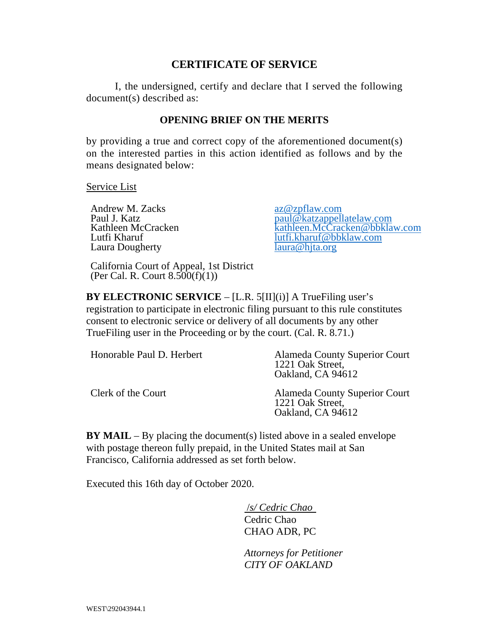## **CERTIFICATE OF SERVICE**

I, the undersigned, certify and declare that I served the following document(s) described as:

## **OPENING BRIEF ON THE MERITS**

by providing a true and correct copy of the aforementioned document(s) on the interested parties in this action identified as follows and by the means designated below:

Service List

Andrew M. Zacks<br>
Paul J. Katz<br>
Paul J. Katz Laura Dougherty

Paul J. Katz<br>
Kathleen McCracken<br>
Kathleen McCracken<br>
kathleen McCracken<br>
kathleen McCracken Kathleen McCracken<br>
Lutfi Kharuf Kharuf (Cracken @bbklaw.com lutfi.kharuf@bbklaw.com laura@hjta.org

California Court of Appeal, 1st District (Per Cal. R. Court  $8.500(f)(1)$ )

**BY ELECTRONIC SERVICE** – [L.R. 5[II](i)] A TrueFiling user's registration to participate in electronic filing pursuant to this rule constitutes consent to electronic service or delivery of all documents by any other TrueFiling user in the Proceeding or by the court. (Cal. R. 8.71.)

| Honorable Paul D. Herbert | <b>Alameda County Superior Court</b><br>1221 Oak Street,<br>Oakland, CA 94612 |
|---------------------------|-------------------------------------------------------------------------------|
| Clerk of the Court        | <b>Alameda County Superior Court</b><br>1221 Oak Street,<br>Oakland, CA 94612 |

**BY MAIL** – By placing the document(s) listed above in a sealed envelope with postage thereon fully prepaid, in the United States mail at San Francisco, California addressed as set forth below.

Executed this 16th day of October 2020.

 /*s/ Cedric Chao*  Cedric Chao CHAO ADR, PC

*Attorneys for Petitioner CITY OF OAKLAND*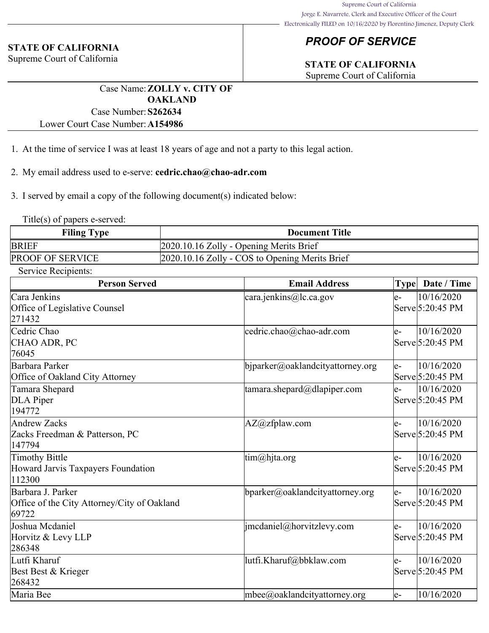## *PROOF OF SERVICE*

## **STATE OF CALIFORNIA**

Supreme Court of California

Case Name:**ZOLLY v. CITY OF OAKLAND** Case Number:**S262634**

Lower Court Case Number:**A154986**

- 1. At the time of service I was at least 18 years of age and not a party to this legal action.
- 2. My email address used to e-serve: **cedric.chao@chao-adr.com**
- 3. I served by email a copy of the following document(s) indicated below:

Title(s) of papers e-served:

**STATE OF CALIFORNIA** Supreme Court of California

| <b>Filing Type</b>      | <b>Document Title</b>                          |
|-------------------------|------------------------------------------------|
| <b>BRIEF</b>            | 2020.10.16 Zolly - Opening Merits Brief        |
| <b>PROOF OF SERVICE</b> | 2020.10.16 Zolly - COS to Opening Merits Brief |

Service Recipients:

| <b>Person Served</b>                        | <b>Email Address</b>             | <b>Type</b> | Date / Time      |
|---------------------------------------------|----------------------------------|-------------|------------------|
| Cara Jenkins                                | $\text{cara.jenkins@lc.ca.gov}$  | le-         | 10/16/2020       |
| Office of Legislative Counsel               |                                  |             | Serve 5:20:45 PM |
| 271432                                      |                                  |             |                  |
| Cedric Chao                                 | cedric.chao@chao-adr.com         | le-         | 10/16/2020       |
| CHAO ADR, PC                                |                                  |             | Serve 5:20:45 PM |
| 76045                                       |                                  |             |                  |
| Barbara Parker                              | biparker@oaklandcityattorney.org | le-         | 10/16/2020       |
| Office of Oakland City Attorney             |                                  |             | Serve 5:20:45 PM |
| Tamara Shepard                              | tamara.shepard@dlapiper.com      | le-         | 10/16/2020       |
| DLA Piper                                   |                                  |             | Serve 5:20:45 PM |
| 194772                                      |                                  |             |                  |
| Andrew Zacks                                | AZ@zfplaw.com                    | le-         | 10/16/2020       |
| Zacks Freedman & Patterson, PC              |                                  |             | Serve 5:20:45 PM |
| 147794                                      |                                  |             |                  |
| Timothy Bittle                              | $\lim(\omega)$ hjta.org          | le-         | 10/16/2020       |
| Howard Jarvis Taxpayers Foundation          |                                  |             | Serve 5:20:45 PM |
| 112300                                      |                                  |             |                  |
| Barbara J. Parker                           | bparker@oaklandcityattorney.org  | le-         | 10/16/2020       |
| Office of the City Attorney/City of Oakland |                                  |             | Serve 5:20:45 PM |
| 69722                                       |                                  |             |                  |
| Joshua Mcdaniel                             | $ $ imcdaniel@horvitzlevy.com    | le-         | 10/16/2020       |
| Horvitz & Levy LLP                          |                                  |             | Serve 5:20:45 PM |
| 286348                                      |                                  |             |                  |
| Lutfi Kharuf                                | lutfi.Kharuf@bbklaw.com          | le-         | 10/16/2020       |
| Best Best & Krieger                         |                                  |             | Serve 5:20:45 PM |
| 268432                                      |                                  |             |                  |
| Maria Bee                                   | $m$ bee@oaklandcityattorney.org  | le-         | 10/16/2020       |